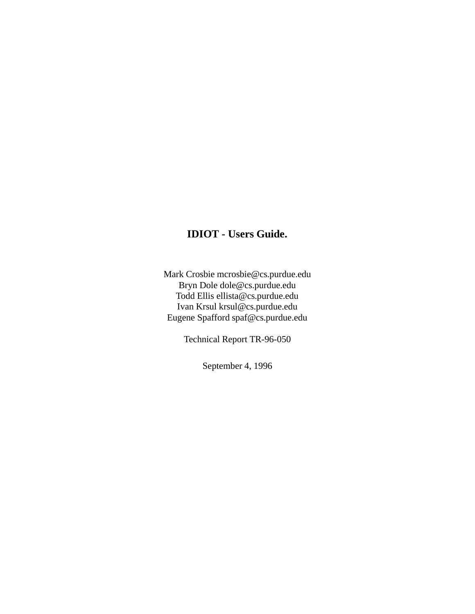## **IDIOT - Users Guide.**

Mark Crosbie mcrosbie@cs.purdue.edu Bryn Dole dole@cs.purdue.edu Todd Ellis ellista@cs.purdue.edu Ivan Krsul krsul@cs.purdue.edu Eugene Spafford spaf@cs.purdue.edu

Technical Report TR-96-050

September 4, 1996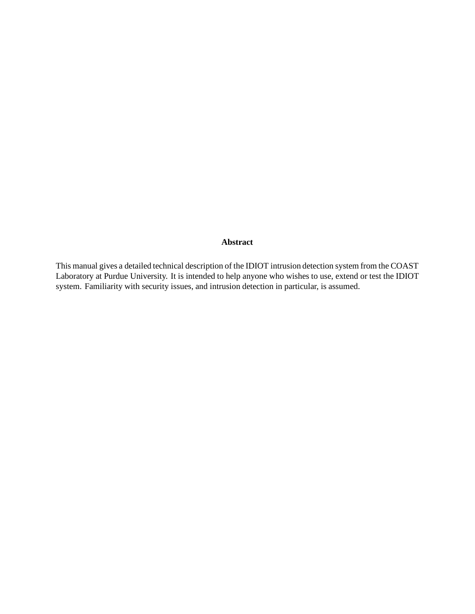#### **Abstract**

This manual gives a detailed technical description of the IDIOT intrusion detection system from the COAST Laboratory at Purdue University. It is intended to help anyone who wishes to use, extend or test the IDIOT system. Familiarity with security issues, and intrusion detection in particular, is assumed.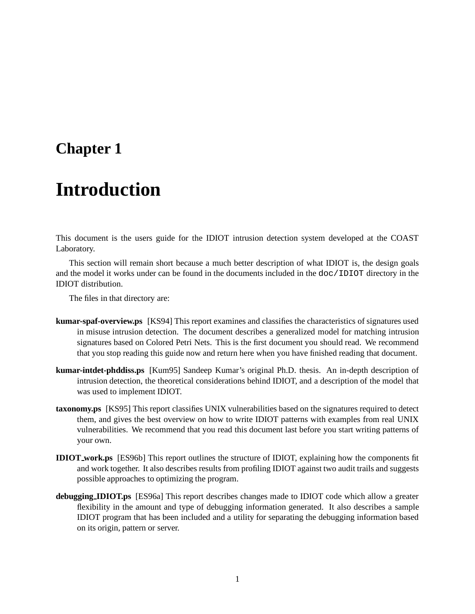## **Chapter 1**

# **Introduction**

This document is the users guide for the IDIOT intrusion detection system developed at the COAST Laboratory.

This section will remain short because a much better description of what IDIOT is, the design goals and the model it works under can be found in the documents included in the doc/IDIOT directory in the IDIOT distribution.

The files in that directory are:

- **kumar-spaf-overview.ps** [KS94] This report examines and classifies the characteristics of signatures used in misuse intrusion detection. The document describes a generalized model for matching intrusion signatures based on Colored Petri Nets. This is the first document you should read. We recommend that you stop reading this guide now and return here when you have finished reading that document.
- **kumar-intdet-phddiss.ps** [Kum95] Sandeep Kumar's original Ph.D. thesis. An in-depth description of intrusion detection, the theoretical considerations behind IDIOT, and a description of the model that was used to implement IDIOT.
- **taxonomy.ps** [KS95] This report classifies UNIX vulnerabilities based on the signatures required to detect them, and gives the best overview on how to write IDIOT patterns with examples from real UNIX vulnerabilities. We recommend that you read this document last before you start writing patterns of your own.
- **IDIOT work.ps** [ES96b] This report outlines the structure of IDIOT, explaining how the components fit and work together. It also describes results from profiling IDIOT against two audit trails and suggests possible approaches to optimizing the program.
- **debugging IDIOT.ps** [ES96a] This report describes changes made to IDIOT code which allow a greater flexibility in the amount and type of debugging information generated. It also describes a sample IDIOT program that has been included and a utility for separating the debugging information based on its origin, pattern or server.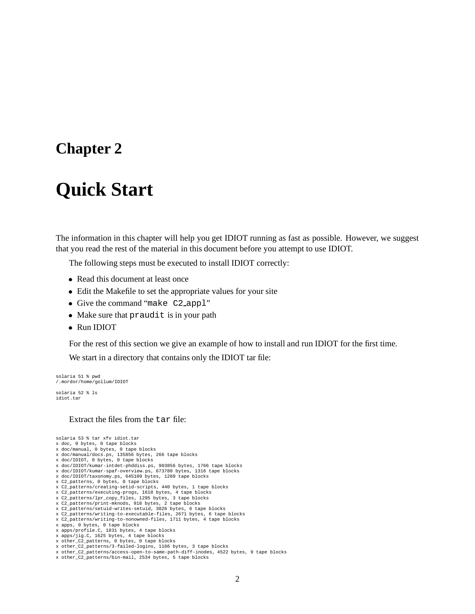## **Chapter 2**

# **Quick Start**

The information in this chapter will help you get IDIOT running as fast as possible. However, we suggest that you read the rest of the material in this document before you attempt to use IDIOT.

The following steps must be executed to install IDIOT correctly:

- Read this document at least once
- Edit the Makefile to set the appropriate values for your site
- Give the command "make C2 appl"
- Make sure that praudit is in your path
- Run IDIOT

For the rest of this section we give an example of how to install and run IDIOT for the first time.

We start in a directory that contains only the IDIOT tar file:

```
solaria 51 % pwd
/.mordor/home/gollum/IDIOT
solaria 52 % ls
```
idiot.tar

#### Extract the files from the tar file:

solaria 53 % tar xfv idiot.tar x doc, 0 bytes, 0 tape blocks x doc/manual, 0 bytes, 0 tape blocks x doc/manual/docs.ps, 135856 bytes, 266 tape blocks x doc/IDIOT, 0 bytes, 0 tape blocks x doc/IDIOT/kumar-intdet-phddiss.ps, 903856 bytes, 1766 tape blocks x doc/IDIOT/kumar-spaf-overview.ps, 673780 bytes, 1316 tape blocks x doc/IDIOT/taxonomy.ps, 645109 bytes, 1260 tape blocks x C2\_patterns, 0 bytes, 0 tape blocks x C2\_patterns/creating-setid-scripts, 440 bytes, 1 tape blocks x C2\_patterns/executing-progs, 1618 bytes, 4 tape blocks x C2\_patterns/lpr\_copy\_files, 1295 bytes, 3 tape blocks x C2\_patterns/print-mknods, 918 bytes, 2 tape blocks x C2\_patterns/setuid-writes-setuid, 3026 bytes, 6 tape blocks x C2\_patterns/writing-to-executable-files, 2671 bytes, 6 tape blocks x C2\_patterns/writing-to-nonowned-files, 1711 bytes, 4 tape blocks x apps, 0 bytes, 0 tape blocks x apps/profile.C, 1831 bytes, 4 tape blocks x apps/jig.C, 1625 bytes, 4 tape blocks x other\_C2\_patterns, 0 bytes, 0 tape blocks x other\_C2\_patterns/3-failed-logins, 1166 bytes, 3 tape blocks

- 
- x other\_C2\_patterns/access-open-to-same-path-diff-inodes, 4522 bytes, 9 tape blocks x other\_C2\_patterns/bin-mail, 2534 bytes, 5 tape blocks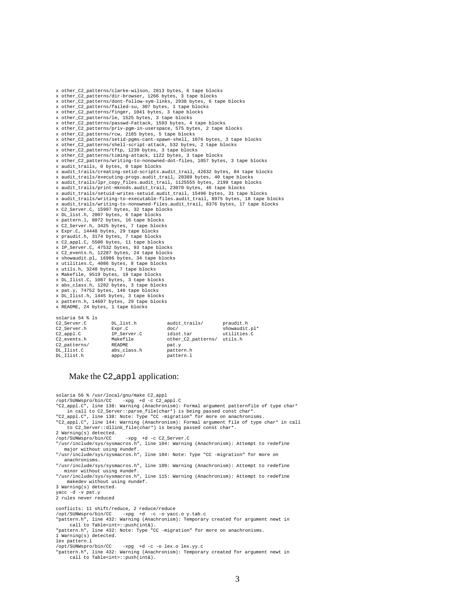x other\_C2\_patterns/clarke-wilson, 2813 bytes, 6 tape blocks x other\_C2\_patterns/dir-browser, 1266 bytes, 3 tape blocks x other\_C2\_patterns/dont-follow-sym-links, 2938 bytes, 6 tape blocks x other\_C2\_patterns/failed-su, 307 bytes, 1 tape blocks x other\_C2\_patterns/finger, 1041 bytes, 3 tape blocks x other\_C2\_patterns/le, 1525 bytes, 3 tape blocks x other\_C2\_patterns/passwd-Fattack, 1593 bytes, 4 tape blocks x other\_C2\_patterns/priv-pgm-in-userspace, 575 bytes, 2 tape blocks x other\_C2\_patterns/rcw, 2185 bytes, 5 tape blocks x other\_C2\_patterns/setid-pgms-cant-spawn-shell, 1076 bytes, 3 tape blocks x other\_C2\_patterns/shell-script-attack, 532 bytes, 2 tape blocks x other\_C2\_patterns/tftp, 1239 bytes, 3 tape blocks x other\_C2\_patterns/timing-attack, 1122 bytes, 3 tape blocks x other\_C2\_patterns/writing-to-nonowned-dot-files, 1057 bytes, 3 tape blocks  $x$  audit trails, 0 bytes, 0 tape blocks x audit\_trails/creating-setid-scripts.audit\_trail, 42632 bytes, 84 tape blocks x audit\_trails/executing-progs.audit\_trail, 20389 bytes, 40 tape blocks x audit\_trails/lpr\_copy\_files.audit\_trail, 1125555 bytes, 2199 tape blocks x audit\_trails/print-mknods.audit\_trail, 23070 bytes, 46 tape blocks<br>x audit\_trails/setuid-writes-setuid.audit\_trail, 15496 bytes, 31 tape blocks<br>x audit\_trails/writing-to-executable-files.audit\_trail, 8975 bytes, 18 tape x audit\_trails/writing-to-nonowned-files.audit\_trail, 8376 bytes, 17 tape blocks x C2\_Server.C, 15997 bytes, 32 tape blocks x DL\_list.h, 2807 bytes, 6 tape blocks x pattern.l, 8072 bytes, 16 tape blocks x C2\_Server.h, 3425 bytes, 7 tape blocks x Expr.C, 14448 bytes, 29 tape blocks x praudit.h, 3174 bytes, 7 tape blocks x C2\_appl.C, 5500 bytes, 11 tape blocks x IP\_Server.C, 47532 bytes, 93 tape blocks x C2\_events.h, 12287 bytes, 24 tape blocks x showaudit.pl, 16986 bytes, 34 tape blocks x utilities.C, 4086 bytes, 8 tape blocks x utils.h, 3248 bytes, 7 tape blocks x Makefile, 9519 bytes, 19 tape blocks x DL\_Ilist.C, 1087 bytes, 3 tape blocks x abs\_class.h, 1282 bytes, 3 tape blocks x pat.y, 74752 bytes, 146 tape blocks x DL\_Ilist.h, 1445 bytes, 3 tape blocks x pattern.h, 14607 bytes, 29 tape blocks x README, 24 bytes, 1 tape blocks solaria 54 % ls

| C2 Server.C    | DL list.h   | audit trails/      | praudit.h     |
|----------------|-------------|--------------------|---------------|
| C2 Server.h    | Expr.C      | doc/               | showaudit.pl* |
| $C2$ appl. $C$ | IP Server.C | idiot.tar          | utilities.C   |
| C2 events.h    | Makefile    | other C2 patterns/ | utils.h       |
| C2 patterns/   | README      | pat.y              |               |
| DL Ilist.C     | abs class.h | pattern.h          |               |
| DL Ilist.h     | apps/       | pattern.l          |               |
|                |             |                    |               |

#### Make the C2\_app1 application:

solaria 56 % /usr/local/gnu/make C2\_appl<br>/opt/SUNWspro/bin/CC -xpg +d -c C2\_a /opt/SUNWspro/bin/CC -xpg +d -c C2\_appl.C "C2\_appl.C", line 138: Warning (Anachronism): Formal argument patternfile of type char\* in call to C2\_Server::parse\_file(char\*) is being passed const char\*. "C2\_appl.C", line 138: Note: Type "CC -migration" for more on anachronisms. "C2\_appl.C", line 144: Warning (Anachronism): Formal argument file of type char\* in call to C2\_Server::dllink\_file(char\*) is being passed const char\*. 2 Warning(s) detected.<br>/opt/SUNWspro/bin/CC /opt/SUNWspro/bin/CC -xpg +d -c C2\_Server.C "/usr/include/sys/sysmacros.h", line 104: Warning (Anachronism): Attempt to redefine major without using #undef. "/usr/include/sys/sysmacros.h", line 104: Note: Type "CC -migration" for more on anachronisms. "/usr/include/sys/sysmacros.h", line 109: Warning (Anachronism): Attempt to redefine minor without using #undef. "/usr/include/sys/sysmacros.h", line 115: Warning (Anachronism): Attempt to redefine makedev without using #undef. 3 Warning(s) detected. yacc -d -v pat.y 2 rules never reduced conflicts: 11 shift/reduce, 2 reduce/reduce /opt/SUNWspro/bin/CC -xpg +d -c -o yacc.o y.tab.c "pattern.h", line 432: Warning (Anachronism): Temporary created for argument newt in call to Table<int>::push(int&). "pattern.h", line 432: Note: Type "CC -migration" for more on anachronisms. 1 Warning(s) detected. lex pattern.l<br>/opt/SUNWspro/bin/CC -xpg +d -c -o lex.o lex.yy.c "pattern.h", line 432: Warning (Anachronism): Temporary created for argument newt in call to Table<int>::push(int&).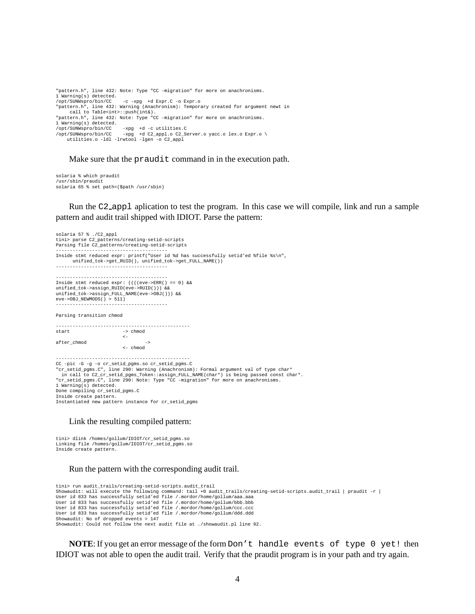"pattern.h", line 432: Note: Type "CC -migration" for more on anachronisms. 1 Warning(s) detected. /opt/SUNWspro/bin/CC -c -xpg +d Expr.C -o Expr.o "pattern.h", line 432: Warning (Anachronism): Temporary created for argument newt in call to Table<int>::push(int&). "pattern.h", line 432: Note: Type "CC -migration" for more on anachronisms. 1 Warning(s) detected. /opt/SUNWspro/bin/CC -xpg +d -c utilities.C /opt/SUNWspro/bin/CC -xpg +d C2\_appl.o C2\_Server.o yacc.o lex.o Expr.o \ utilities.o -ldl -lrwtool -lgen -o C2\_appl

Make sure that the praudit command in in the execution path.

solaria % which praudit /usr/sbin/praudit solaria 65 % set path=(\$path /usr/sbin)

Run the C2 appl aplication to test the program. In this case we will compile, link and run a sample pattern and audit trail shipped with IDIOT. Parse the pattern:

solaria 57 % ./C2\_appl tini> parse C2\_patterns/creating-setid-scripts Parsing file C2\_patterns/creating-setid-scripts ---------------------------------------- Inside stmt reduced expr: printf("User id %d has successfully setid'ed %file %s\n", unified\_tok->get\_RUID(), unified\_tok->get\_FULL\_NAME()) ---------------------------------------- ---------------------------------------- Inside stmt reduced expr: ((((eve->ERR() == 0) && unified\_tok->assign\_RUID(eve->RUID())) && unified\_tok->assign\_FULL\_NAME(eve->OBJ())) &&  $e$ ve->OBJ\_NEWMODS() > 511) ---------------------------------------- Parsing transition chmod ------------------------------------------------  $\Rightarrow$  chmod <- after\_chmod -> <- chmod ------------------------------------------------ CC -pic -G -g -o cr\_setid\_pgms.so cr\_setid\_pgms.C "cr\_setid\_pgms.C", line 290: Warning (Anachronism): Formal argument val of type char\* in call to C2\_cr\_setid\_pgms\_Token::assign\_FULL\_NAME(char\*) is being passed const char\*. "cr\_setid\_pgms.C", line 290: Note: Type "CC -migration" for more on anachronisms. 1 Warning(s) detected. Done compiling cr\_setid\_pgms.C Inside create pattern. Instantiated new pattern instance for cr\_setid\_pgms

#### Link the resulting compiled pattern:

tini> dlink /homes/gollum/IDIOT/cr\_setid\_pgms.so Linking file /homes/gollum/IDIOT/cr\_setid\_pgms.so Inside create pattern.

#### Run the pattern with the corresponding audit trail.

```
tini> run audit_trails/creating-setid-scripts.audit_trail
Showaudit: will execute the following command: tail +0 audit_trails/creating-setid-scripts.audit_trail | praudit -r |
User id 833 has successfully setid'ed file /.mordor/home/gollum/aaa.aaa
User id 833 has successfully setid'ed file /.mordor/home/gollum/bbb.bbb
User id 833 has successfully setid'ed file /.mordor/home/gollum/ccc.ccc
User id 833 has successfully setid'ed file /.mordor/home/gollum/ddd.ddd
Showaudit: No of dropped events = 147
Showaudit: Could not follow the next audit file at ./showaudit.pl line 92.
```
**NOTE:** If you get an error message of the form Don't handle events of type 0 yet! then IDIOT was not able to open the audit trail. Verify that the praudit program is in your path and try again.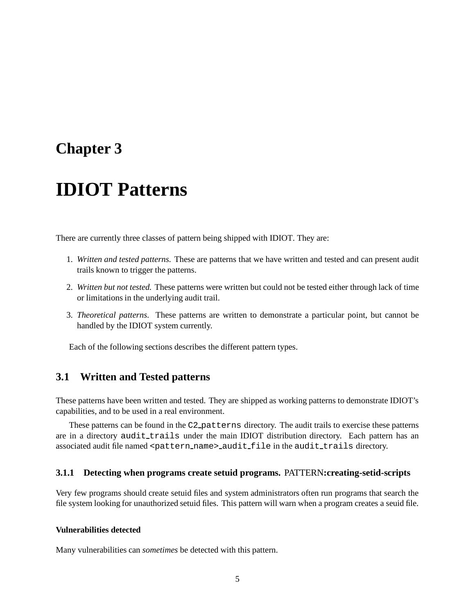## **Chapter 3**

# **IDIOT Patterns**

There are currently three classes of pattern being shipped with IDIOT. They are:

- 1. *Written and tested patterns.* These are patterns that we have written and tested and can present audit trails known to trigger the patterns.
- 2. *Written but not tested.* These patterns were written but could not be tested either through lack of time or limitations in the underlying audit trail.
- 3. *Theoretical patterns.* These patterns are written to demonstrate a particular point, but cannot be handled by the IDIOT system currently.

Each of the following sections describes the different pattern types.

## **3.1 Written and Tested patterns**

These patterns have been written and tested. They are shipped as working patterns to demonstrate IDIOT's capabilities, and to be used in a real environment.

These patterns can be found in the C2 patterns directory. The audit trails to exercise these patterns are in a directory audit\_trails under the main IDIOT distribution directory. Each pattern has an associated audit file named <pattern\_name>\_audit\_file in the audit\_trails directory.

#### **3.1.1 Detecting when programs create setuid programs.** PATTERN**:creating-setid-scripts**

Very few programs should create setuid files and system administrators often run programs that search the file system looking for unauthorized setuid files. This pattern will warn when a program creates a seuid file.

#### **Vulnerabilities detected**

Many vulnerabilities can *sometimes* be detected with this pattern.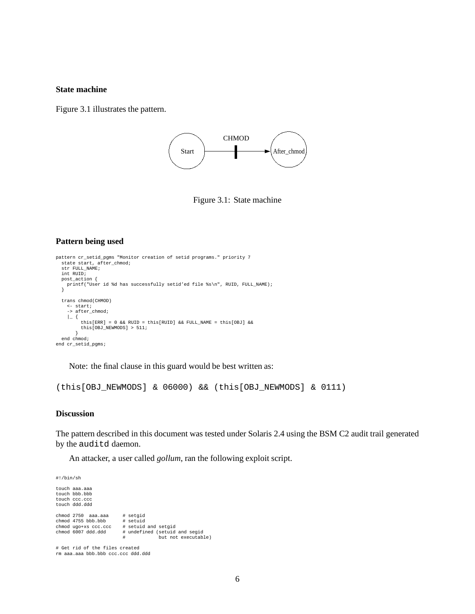#### **State machine**

Figure 3.1 illustrates the pattern.



Figure 3.1: State machine

#### **Pattern being used**

```
pattern cr_setid_pgms "Monitor creation of setid programs." priority 7
  state start, after_chmod;
str FULL_NAME;
  int RUID;
 post_action {
   printf("User id %d has successfully setid'ed file %s\n", RUID, FULL_NAME);
  }
  trans chmod(CHMOD)
    <- start;
    -> after_chmod;
    |_{-} {
         this[ERR] = 0 && RUID = this[RUID] && FULL_NAME = this[OBJ] &&
         this[OBJ_NEWMODS] > 511;
  }
end chmod;
end cr_setid_pgms;
```
Note: the final clause in this guard would be best written as:

(this[OBJ\_NEWMODS] & 06000) && (this[OBJ\_NEWMODS] & 0111)

#### **Discussion**

The pattern described in this document was tested under Solaris 2.4 using the BSM C2 audit trail generated by the auditd daemon.

An attacker, a user called *gollum*, ran the following exploit script.

#!/bin/sh

touch aaa.aaa touch bbb.bbb touch ccc.ccc touch ddd.ddd chmod 2750 aaa.aaa # setgid<br>chmod 4755 bbb.bbb # setuid<br>chmod ugo+xs ccc.ccc # setuid and setgid chmod 4755 bbb.bbb chmod ugo+xs ccc.ccc<br>chmod 6007 ddd.ddd # undefined (setuid and segid but not executable)

# Get rid of the files created rm aaa.aaa bbb.bbb ccc.ccc ddd.ddd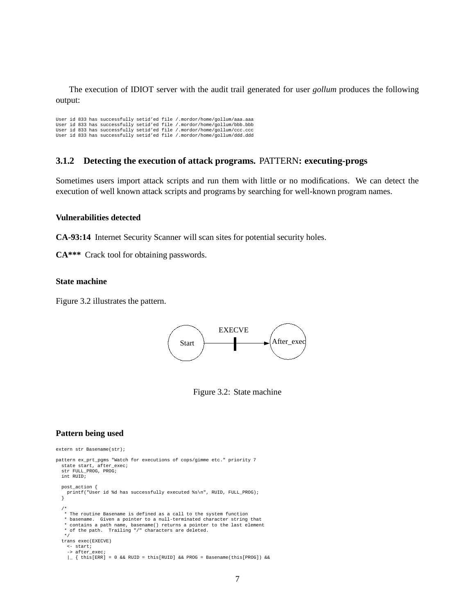The execution of IDIOT server with the audit trail generated for user *gollum* produces the following output:

User id 833 has successfully setid'ed file /.mordor/home/gollum/aaa.aaa User id 833 has successfully setid'ed file /.mordor/home/gollum/bbb.bbb User id 833 has successfully setid'ed file /.mordor/home/gollum/ccc.ccc User id 833 has successfully setid'ed file /.mordor/home/gollum/ddd.ddd

#### **3.1.2 Detecting the execution of attack programs.** PATTERN**: executing-progs**

Sometimes users import attack scripts and run them with little or no modifications. We can detect the execution of well known attack scripts and programs by searching for well-known program names.

#### **Vulnerabilities detected**

**CA-93:14** Internet Security Scanner will scan sites for potential security holes.

**CA\*\*\*** Crack tool for obtaining passwords.

#### **State machine**

Figure 3.2 illustrates the pattern.



Figure 3.2: State machine

#### **Pattern being used**

```
extern str Basename(str);
pattern ex_prt_pgms "Watch for executions of cops/gimme etc." priority 7
 state_start, after_exec;
  str FULL_PROG, PROG;
 int RUID;
 post_action {
   printf("User id %d has successfully executed %s\n", RUID, FULL_PROG);
  }
  /*
* The routine Basename is defined as a call to the system function
   * basename. Given a pointer to a null-terminated character string that
   * contains a path name, basename() returns a pointer to the last element
   * of the path. Trailing "/" characters are deleted.
  */
trans exec(EXECVE)
   \leftarrow start;
    -> after_exec;
    \vert { this[ERR] = 0 && RUID = this[RUID] && PROG = Basename(this[PROG]) &&
```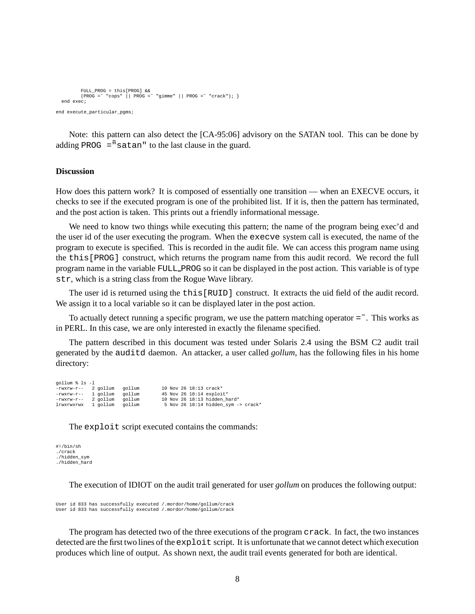```
FULL_PROG = this[PROG] &&
         (PROG = " "cops" || PROG = " "gimme" || PROG = " "crack"); }
 end exec;
end execute_particular_pgms;
```
Note: this pattern can also detect the [CA-95:06] advisory on the SATAN tool. This can be done by adding PROG  $=$ <sup> $\tilde{m}$ </sup> satan<sup> $\theta$ </sup> to the last clause in the guard.

#### **Discussion**

How does this pattern work? It is composed of essentially one transition — when an EXECVE occurs, it checks to see if the executed program is one of the prohibited list. If it is, then the pattern has terminated, and the post action is taken. This prints out a friendly informational message.

We need to know two things while executing this pattern; the name of the program being exec'd and the user id of the user executing the program. When the execve system call is executed, the name of the program to execute is specified. This is recorded in the audit file. We can access this program name using the this[PROG] construct, which returns the program name from this audit record. We record the full program name in the variable FULL PROG so it can be displayed in the post action. This variable is of type str, which is a string class from the Rogue Wave library.

The user id is returned using the this[RUID] construct. It extracts the uid field of the audit record. We assign it to a local variable so it can be displayed later in the post action.

To actually detect running a specific program, we use the pattern matching operator  $=$   $\tilde{ }$ . This works as in PERL. In this case, we are only interested in exactly the filename specified.

The pattern described in this document was tested under Solaris 2.4 using the BSM C2 audit trail generated by the auditd daemon. An attacker, a user called *gollum*, has the following files in his home directory:

| gollum % ls -1      |        |                                                |
|---------------------|--------|------------------------------------------------|
| -rwxrw-r-- 2 gollum | gollum | 10 Nov 26 18:13 crack*                         |
| -rwxrw-r-- 1 gollum | gollum | 45 Nov 26 18:14 exploit*                       |
| -rwxrw-r-- 2 gollum | gollum | 10 Nov 26 18:13 hidden hard*                   |
| lrwxrwxrwx 1 gollum | gollum | 5 Nov 26 18:14 hidden sym $\rightarrow$ crack* |

The exploit script executed contains the commands:

```
#!/bin/sh
./crack
./hidden_sym
./hidden_hard
```
The execution of IDIOT on the audit trail generated for user *gollum* on produces the following output:

```
User id 833 has successfully executed /.mordor/home/gollum/crack
User id 833 has successfully executed /.mordor/home/gollum/crack
```
The program has detected two of the three executions of the program crack. In fact, the two instances detected are the first two lines of the exploit script. It is unfortunate that we cannot detect which execution produces which line of output. As shown next, the audit trail events generated for both are identical.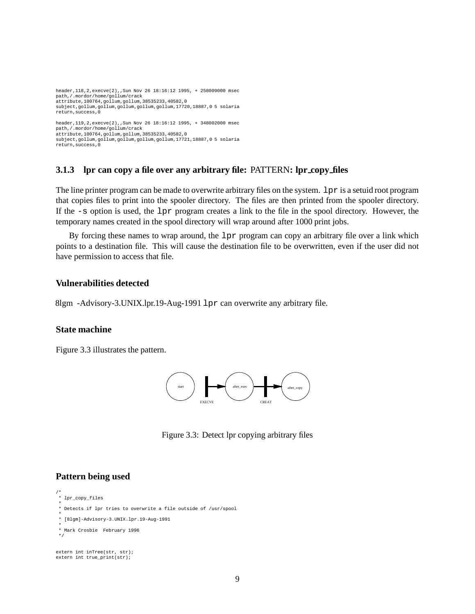```
header,118,2,execve(2),,Sun Nov 26 18:16:12 1995, + 258009000 msec
path,/.mordor/home/gollum/crack
attribute,100764,gollum,gollum,38535233,40582,0
subject,gollum,gollum,gollum,gollum,gollum,17720,18887,0 5 solaria
return,success,0
header,119,2,execve(2),,Sun Nov 26 18:16:12 1995, + 348002000 msec
path,/.mordor/home/gollum/crack
attribute,100764,gollum,gollum,38535233,40582,0
subject,gollum,gollum,gollum,gollum,gollum,17721,18887,0 5 solaria
return,success,0
```
#### **3.1.3 lpr can copy a file over any arbitrary file:** PATTERN**: lpr copy files**

The line printer program can be made to overwrite arbitrary files on the system. 1 px is a setuid root program that copies files to print into the spooler directory. The files are then printed from the spooler directory. If the -s option is used, the lpr program creates a link to the file in the spool directory. However, the temporary names created in the spool directory will wrap around after 1000 print jobs.

By forcing these names to wrap around, the  $1pr$  program can copy an arbitrary file over a link which points to a destination file. This will cause the destination file to be overwritten, even if the user did not have permission to access that file.

#### **Vulnerabilities detected**

8lgm -Advisory-3.UNIX.lpr.19-Aug-1991 lpr can overwrite any arbitrary file.

#### **State machine**

Figure 3.3 illustrates the pattern.



Figure 3.3: Detect lpr copying arbitrary files

#### **Pattern being used**

```
/*
* lpr_copy_files
```
\*/

```
*
 Detects if lpr tries to overwrite a file outside of /usr/spool
```

```
*
* [8lgm]-Advisory-3.UNIX.lpr.19-Aug-1991
```

```
*
 Mark Crosbie February 1996
```

```
extern int inTree(str, str);
extern int true print(str);
```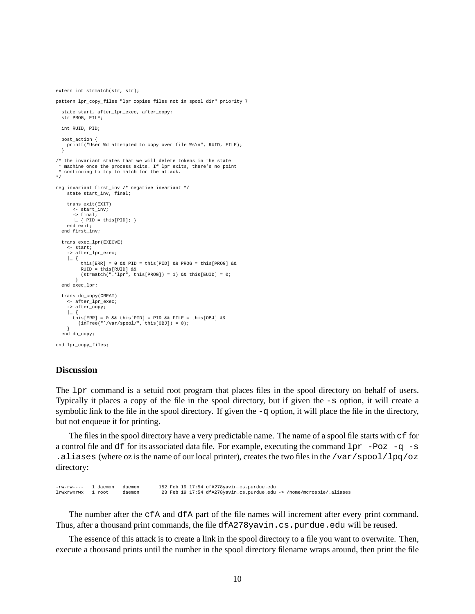```
extern int strmatch(str, str);
pattern lpr_copy_files "lpr copies files not in spool dir" priority 7
  state start, after_lpr_exec, after_copy;
 str PROG, FILE;
 int RUID, PID;
 post_action {
   printf("User %d attempted to copy over file %s\n", RUID, FILE);
  }
/* the invariant states that we will delete tokens in the state
  machine once the process exits. If lpr exits, there's no point
* continuing to try to match for the attack.
*/
neg invariant first_inv /* negative invariant */
    state start_inv, final;
    trans exit(EXIT)
       <- start_inv;
-> final;
      \vert \_ { PID = this[PID]; }
    end exit;
  end first_inv;
 trans exec_lpr(EXECVE)
    <- start;
    -> after_lpr_exec;
    | {
          this[ERR] = 0 && PID = this[PID] && PROG = this[PROG] &&
         RUID = this[RUID] &6(\text{strument}(".^*1pr", \text{this}[\text{PROG}]) = 1) \&\text{this}[\text{EUID}] = 0;}
end exec_lpr;
  trans do_copy(CREAT)
    <- after_lpr_exec;
    -> after_copy;
    |_{-} {
       this[ERR] = 0 && this[PID] = PID && FILE = this[OBJ] &&
(inTree("ˆ/var/spool/", this[OBJ]) = 0);
  }
end do_copy;
end lpr_copy_files;
```
#### **Discussion**

The lpr command is a setuid root program that places files in the spool directory on behalf of users. Typically it places a copy of the file in the spool directory, but if given the -s option, it will create a symbolic link to the file in the spool directory. If given the  $-q$  option, it will place the file in the directory, but not enqueue it for printing.

The files in the spool directory have a very predictable name. The name of a spool file starts with  $\sigma$  for a control file and df for its associated data file. For example, executing the command  $1pr -Poz -q -s$ .aliases (where oz is the name of our local printer), creates the two files in the /var/spool/lpq/oz directory:

-rw-rw---- 1 daemon daemon 152 Feb 19 17:54 cfA278yavin.cs.purdue.edu lrwxrwxrwx 1 root daemon 23 Feb 19 17:54 dfA278yavin.cs.purdue.edu -> /home/mcrosbie/.aliases

The number after the cfA and dfA part of the file names will increment after every print command. Thus, after a thousand print commands, the file dfA278yavin.cs.purdue.edu will be reused.

The essence of this attack is to create a link in the spool directory to a file you want to overwrite. Then, execute a thousand prints until the number in the spool directory filename wraps around, then print the file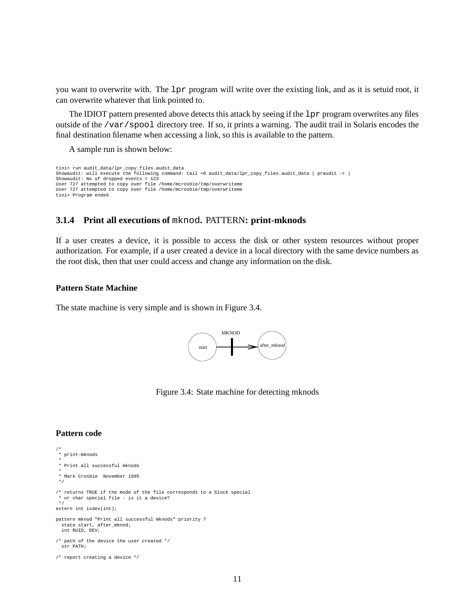you want to overwrite with. The lpr program will write over the existing link, and as it is setuid root, it can overwrite whatever that link pointed to.

The IDIOT pattern presented above detects this attack by seeing if the lpr program overwrites any files outside of the /var/spool directory tree. If so, it prints a warning. The audit trail in Solaris encodes the final destination filename when accessing a link, so this is available to the pattern.

A sample run is shown below:

```
tini> run audit_data/lpr_copy_files.audit_data
Showaudit: will execute the following command: tail +0 audit_data/lpr_copy_files.audit_data | praudit -r |
Showaudit: No of dropped events = 123
User 727 attempted to copy over file /home/mcrosbie/tmp/overwriteme
User 727 attempted to copy over file /home/mcrosbie/tmp/overwriteme
tini> Program ended
```
#### **3.1.4 Print all executions of** mknod**.** PATTERN**: print-mknods**

If a user creates a device, it is possible to access the disk or other system resources without proper authorization. For example, if a user created a device in a local directory with the same device numbers as the root disk, then that user could access and change any information on the disk.

#### **Pattern State Machine**

The state machine is very simple and is shown in Figure 3.4.



Figure 3.4: State machine for detecting mknods

#### **Pattern code**

```
/*
* print-mknods
 *
* Print all successful mknods
 *
* Mark Crosbie November 1995
 */
/* returns TRUE if the mode of the file corresponds to a block special
  or char special file - is it a device?
*/
extern int isdev(int);
pattern mknod "Print all successful mknods" priority 7
  state_start, after_mknod;
 int RUID, DEV;
/* path of the device the user created */
 str PATH;
/* report creating a device */
```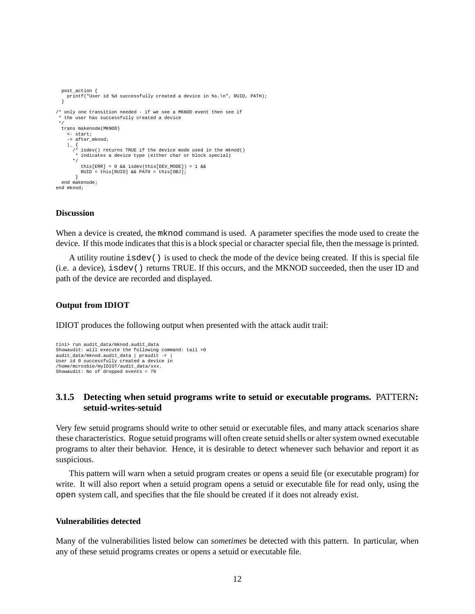```
post_action {
   printf("User id %d successfully created a device in %s.\n", RUID, PATH);
  }
/* only one transition needed - if we see a MKNOD event then see if
 * the user has successfully created a device
 */
  trans makenode(MKNOD)
    <- start;
    -> after mknod;
    |_ {
/* isdev() returns TRUE if the device mode used in the mknod()
* indicates a device type (either char or block special)
      */
         this[ERR] = 0 && isdev(this[DEV_MODE]) = 1 &&
         RUID = this[RUID] && PATH = this[OBJ];
  }
end makenode;
end mknod;
```
#### **Discussion**

When a device is created, the mknod command is used. A parameter specifies the mode used to create the device. If this mode indicates that this is a block special or character special file, then the message is printed.

A utility routine isdev() is used to check the mode of the device being created. If this is special file (i.e. a device), isdev() returns TRUE. If this occurs, and the MKNOD succeeded, then the user ID and path of the device are recorded and displayed.

#### **Output from IDIOT**

IDIOT produces the following output when presented with the attack audit trail:

```
tini> run audit_data/mknod.audit_data
Showaudit: will execute the following command: tail +0
audit_data/mknod.audit_data | praudit -r |
User id 0 successfully created a device in
/home/mcrosbie/myIDIOT/audit_data/xxx.
Showaudit: No of dropped events = 79
```
#### **3.1.5 Detecting when setuid programs write to setuid or executable programs.** PATTERN**: setuid-writes-setuid**

Very few setuid programs should write to other setuid or executable files, and many attack scenarios share these characteristics. Rogue setuid programs will often create setuid shells or alter system owned executable programs to alter their behavior. Hence, it is desirable to detect whenever such behavior and report it as suspicious.

This pattern will warn when a setuid program creates or opens a seuid file (or executable program) for write. It will also report when a setuid program opens a setuid or executable file for read only, using the open system call, and specifies that the file should be created if it does not already exist.

#### **Vulnerabilities detected**

Many of the vulnerabilities listed below can *sometimes* be detected with this pattern. In particular, when any of these setuid programs creates or opens a setuid or executable file.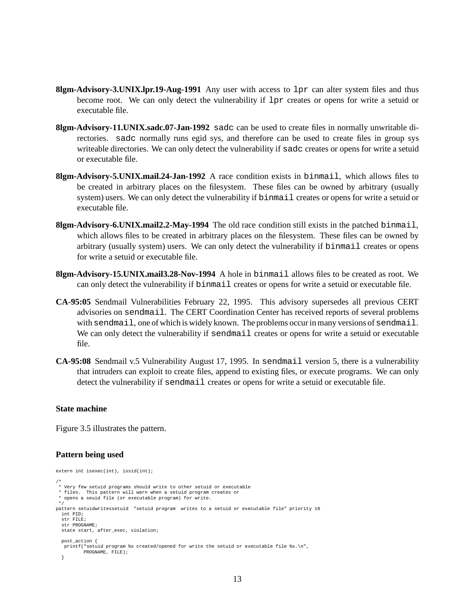- **8lgm-Advisory-3.UNIX.lpr.19-Aug-1991** Any user with access to lpr can alter system files and thus become root. We can only detect the vulnerability if lpr creates or opens for write a setuid or executable file.
- **8lgm-Advisory-11.UNIX.sadc.07-Jan-1992** sadc can be used to create files in normally unwritable directories. sadc normally runs egid sys, and therefore can be used to create files in group sys writeable directories. We can only detect the vulnerability if sadc creates or opens for write a setuid or executable file.
- **8lgm-Advisory-5.UNIX.mail.24-Jan-1992** A race condition exists in binmail, which allows files to be created in arbitrary places on the filesystem. These files can be owned by arbitrary (usually system) users. We can only detect the vulnerability if binmail creates or opens for write a setuid or executable file.
- **8lgm-Advisory-6.UNIX.mail2.2-May-1994** The old race condition still exists in the patched binmail, which allows files to be created in arbitrary places on the filesystem. These files can be owned by arbitrary (usually system) users. We can only detect the vulnerability if binmail creates or opens for write a setuid or executable file.
- **8lgm-Advisory-15.UNIX.mail3.28-Nov-1994** A hole in binmail allows files to be created as root. We can only detect the vulnerability if binmail creates or opens for write a setuid or executable file.
- **CA-95:05** Sendmail Vulnerabilities February 22, 1995. This advisory supersedes all previous CERT advisories on sendmail. The CERT Coordination Center has received reports of several problems with sendmail, one of which is widely known. The problems occur in many versions of sendmail. We can only detect the vulnerability if sendmail creates or opens for write a setuid or executable file.
- **CA-95:08** Sendmail v.5 Vulnerability August 17, 1995. In sendmail version 5, there is a vulnerability that intruders can exploit to create files, append to existing files, or execute programs. We can only detect the vulnerability if sendmail creates or opens for write a setuid or executable file.

#### **State machine**

Figure 3.5 illustrates the pattern.

#### **Pattern being used**

```
extern int isexec(int), issid(int);
/*
* Very few setuid programs should write to other setuid or executable
 * files. This pattern will warn when a setuid program creates or
* opens a seuid file (or executable program) for write.
*/
pattern setuidwritessetuid "setuid program writes to a setuid or executable file" priority 10
  int PID;
  str FILE;
  str PROGNAME;
 state start, after_exec, violation;
 post_action {
  printf("setuid program %s created/opened for write the setuid or executable file %s.\n",
          PROGNAME, FILE);
  }
```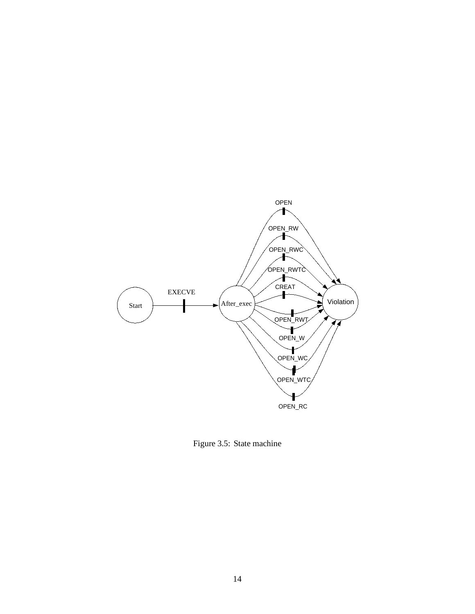

Figure 3.5: State machine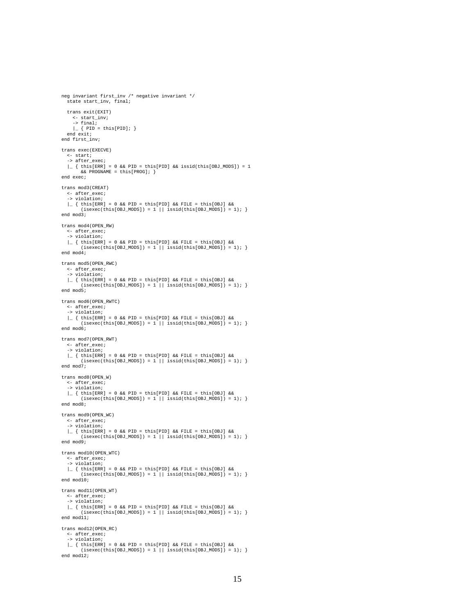```
neg invariant first_inv /* negative invariant */
  state start inv, final;
  trans exit(EXIT)
    <- start_inv;
     \rightarrow final;
     \vert \_ { PID = this[PID]; }
  end exit;
end first_inv;
trans exec(EXECVE)
  <- start;
  -> after_exec;
  \vert { this[ERR] = 0 && PID = this[PID] && issid(this[OBJ_MODS]) = 1
        &&PROGNAME = this[PROG]; \}end exec;
trans mod3(CREAT)
   <- after_exec;
-> violation;
   |_ { this[ERR] = 0 && PID = this[PID] && FILE = this[OBJ] &&
(isexec(this[OBJ_MODS]) = 1 || issid(this[OBJ_MODS]) = 1); }
end mod3;
trans mod4(OPEN_RW)
  <- after_exec;
  -> violation;
  \vert { this[ERR] = 0 && PID = this[PID] && FILE = this[OBJ] &&
         (isexec(this[OBJ_MODS]) = 1 || issid(this[OBJ_MODS]) = 1);end mod4;
trans mod5(OPEN_RWC)
  <- after_exec;
  -> violation;
   \vert \_ { this[ERR] = 0 && PID = this[PID] && FILE = this[OBJ] &&<br>(isexec(this[OBJ_MODS]) = 1 || issid(this[OBJ_MODS]) = 1); }
end mod5;
trans mod6(OPEN_RWTC)
  <- after_exec;
  -> violation;
  |_ { this[ERR] = 0 && PID = this[PID] && FILE = this[OBJ] &&
         (i,\text{secc}(\text{this}[\text{OBJ}\_ \text{MODS}]) = 1 || i \text{ssid}(\text{this}[\text{OBJ}\_ \text{MODS}]) = 1);end mod6;
trans mod7(OPEN_RWT)
   <- after_exec;
-> violation;
   |_ { this[ERR] = 0 && PID = this[PID] && FILE = this[OBJ] &&
(isexec(this[OBJ_MODS]) = 1 || issid(this[OBJ_MODS]) = 1); }
end mod7;
trans mod8(OPEN_W)
  <- after_exec;
  -> violation;
  |_ { this[ERR] = 0 && PID = this[PID] && FILE = this[OBJ] &&
        (i \text{sesec}(\text{this}[\text{OBJ_MODS}]) = 1 || i \text{ssid}(\text{this}[\text{OBJ_MODS}]) = 1);end mod8;
trans mod9(OPEN_WC)
  <- after_exec;
   -> violation;
  \vert { this[ERR] = 0 && PID = this[PID] && FILE = this[OBJ] &&
        (i \text{sevec}(\text{this}[\text{OBJ_MODS}]) = 1 || i \text{issid}(\text{this}[\text{OBJ_MODS}]) = 1);end mod9;
trans mod10(OPEN_WTC)
  <- after_exec;
  -> violation;
  |_ { this[ERR] = 0 && PID = this[PID] && FILE = this[OBJ] &&
         (isexec(this[OBJ_MODS]) = 1 || issid(this[OBJ_MODS]) = 1);end mod10;
trans mod11(OPEN_WT)
  <- after_exec;
  -> violation;
   |_ { this[ERR] = 0 && PID = this[PID] && FILE = this[OBJ] &&
(isexec(this[OBJ_MODS]) = 1 || issid(this[OBJ_MODS]) = 1); }
end mod11;
trans mod12(OPEN_RC)
  <- after_exec;
  -> violation;
  \vert { this[ERR] = 0 && PID = this[PID] && FILE = this[OBJ] &&
         (isexec(this[OBJ_MODS]) = 1 || issid(this[OBJ_MODS]) = 1);end mod12;
```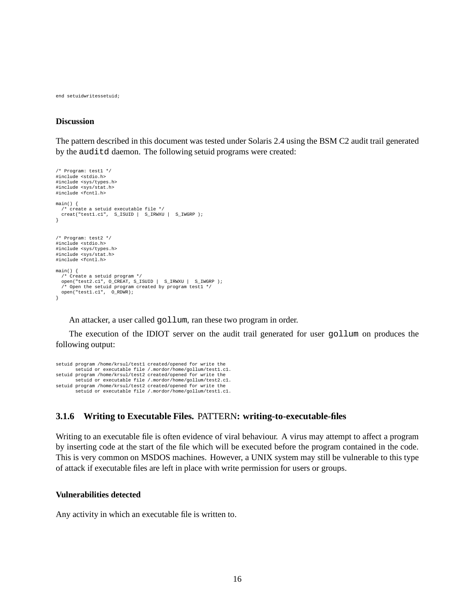end setuidwritessetuid;

#### **Discussion**

The pattern described in this document was tested under Solaris 2.4 using the BSM C2 audit trail generated by the auditd daemon. The following setuid programs were created:

```
/* Program: test1 */
#include <stdio.h>
#include <sys/types.h>
#include <sys/stat.h>
#include <fcntl.h>
main() {
  /* create a setuid executable file */
  creat("test1.c1", S_ISUID | S_IRWXU | S_IWGRP );
}
/* Program: test2 */
#include <stdio.h>
#include <sys/types.h>
#include <sys/stat.h>
#include <fcntl.h>
main() {
  /* Create a setuid program */
  open("test2.c1", O_CREAT, S_ISUID | S_IRWXU | S_IWGRP );
/* Open the setuid program created by program test1 */
  open("test1.c1", O_RDWR);
\mathbf{1}
```
An attacker, a user called gollum, ran these two program in order.

The execution of the IDIOT server on the audit trail generated for user gollum on produces the following output:

```
setuid program /home/krsul/test1 created/opened for write the
setuid or executable file /.mordor/home/gollum/test1.c1.
setuid program /home/krsul/test2 created/opened for write the
          setuid or executable file /.mordor/home/gollum/test2.c1.
setuid program /home/krsul/test2 created/opened for write the
setuid or executable file /.mordor/home/gollum/test1.c1.
```
#### **3.1.6 Writing to Executable Files.** PATTERN**: writing-to-executable-files**

Writing to an executable file is often evidence of viral behaviour. A virus may attempt to affect a program by inserting code at the start of the file which will be executed before the program contained in the code. This is very common on MSDOS machines. However, a UNIX system may still be vulnerable to this type of attack if executable files are left in place with write permission for users or groups.

#### **Vulnerabilities detected**

Any activity in which an executable file is written to.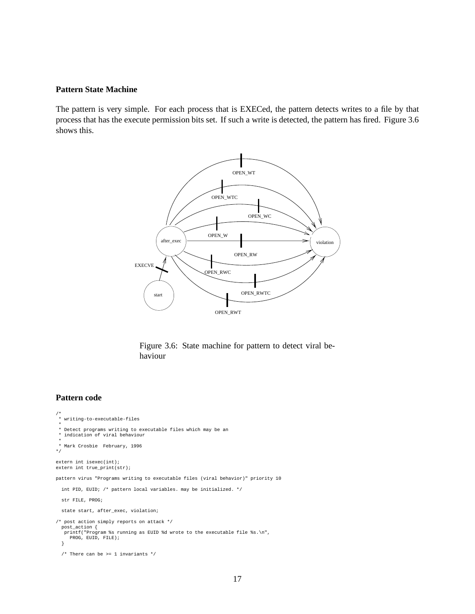#### **Pattern State Machine**

The pattern is very simple. For each process that is EXECed, the pattern detects writes to a file by that process that has the execute permission bits set. If such a write is detected, the pattern has fired. Figure 3.6 shows this.



Figure 3.6: State machine for pattern to detect viral behaviour

#### **Pattern code**

```
/*
* writing-to-executable-files
*
 * Detect programs writing to executable files which may be an
 * indication of viral behaviour
 *
* Mark Crosbie February, 1996
*/
extern int isexec(int);
extern int true_print(str);
pattern virus "Programs writing to executable files (viral behavior)" priority 10
 int PID, EUID; /* pattern local variables. may be initialized. */
 str FILE, PROG;
 state start, after_exec, violation;
/* post action simply reports on attack */
 post_action {
  printf("Program %s running as EUID %d wrote to the executable file %s.\n",
    PROG, EUID, FILE);
  }
  \hspace{0.1mm}/^* There can be >= 1 invariants */
```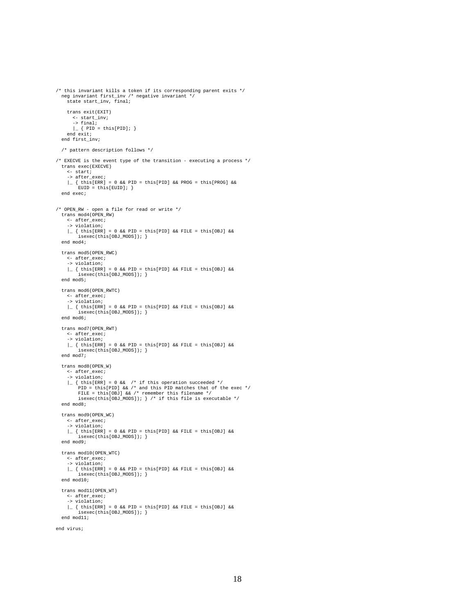```
neg invariant first_inv /* negative invariant */
    state start inv, final;
    trans exit(EXIT)
      <- start_inv;
       \rightarrow final;
       \vert \_ { PID = this[PID]; }
    end exit;
  end first_inv;
  /* pattern description follows */
/* EXECVE is the event type of the transition - executing a process */trans exec(EXECVE)
    <- start;
    -> after_exec;
    \vert { this[ERR] = 0 && PID = this[PID] && PROG = this[PROG] &&
         EUID = this[EUID];end exec;
/* OPEN_RW - open a file for read or write */
  trans mod4(OPEN_RW)
    <- after_exec;
    -> violation;
    \vert { this[ERR] = 0 && PID = this[PID] && FILE = this[OBJ] &&
         isexec(this[OBJ_MODS]); }
  end mod4;
 trans mod5(OPEN_RWC)
    <- after_exec;
    -> violation;
    |_ { this[ERR] = 0 && PID = this[PID] && FILE = this[OBJ] &&
         isexec(this[OBJ_MODS]); }
  end mod5;
  trans mod6(OPEN_RWTC)
    <- after_exec;
    -> violation;
    \vert { this[ERR] = 0 && PID = this[PID] && FILE = this[OBJ] &&
         isexec(this[OBJ_MODS]); }
  end mod6;
 trans mod7(OPEN_RWT)
    <- after_exec;
    -> violation;
    \vert \vert { this[ERR] = 0 && PID = this[PID] && FILE = this[OBJ] &&
         isexec(this[OBJ_MODS]); }
  end mod7;
  trans mod8(OPEN_W)
     <- after_exec;
-> violation;
     |_{this[ERR] = 0 & & /* if this operation succeeded */<br>PID = this[PID] & /* and this PID matches that of the exec */<br>FILE = this[OEJ] & /* remember this filename */<br>isexec(this[OEJ_MODS]); } /* if this file is executable 
 end mod8;
  trans mod9(OPEN_WC)
    <- after_exec;
     -> violation;
    \vert { this[ERR] = 0 && PID = this[PID] && FILE = this[OBJ] &&
         isexec(this[OBJ_MODS]); }
  end mod9;
  trans mod10(OPEN_WTC)
    <- after_exec;
    -> violation;
    |_ { this[ERR] = 0 && PID = this[PID] && FILE = this[OBJ] &&
         isexec(this[OBJ_MODS]); }
  end mod10;
  trans mod11(OPEN_WT)
    <- after_exec;
    -> violation;
     |_ { this[ERR] = 0 && PID = this[PID] && FILE = this[OBJ] &&
isexec(this[OBJ_MODS]); }
  end mod11;
end virus;
```
/\* this invariant kills a token if its corresponding parent exits \*/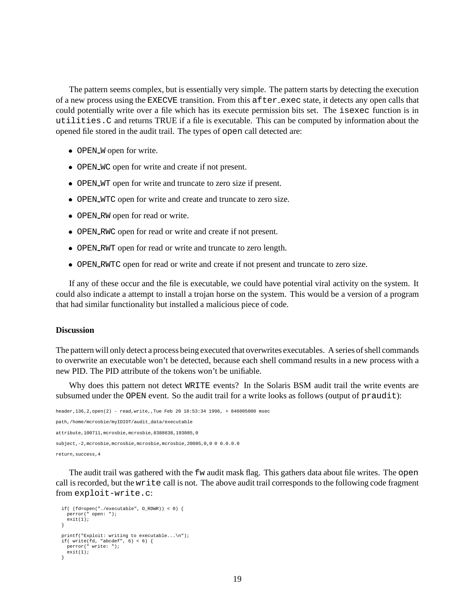The pattern seems complex, but is essentially very simple. The pattern starts by detecting the execution of a new process using the EXECVE transition. From this after exec state, it detects any open calls that could potentially write over a file which has its execute permission bits set. The isexec function is in utilities.C and returns TRUE if a file is executable. This can be computed by information about the opened file stored in the audit trail. The types of open call detected are:

- OPEN\_W open for write.
- OPEN WC open for write and create if not present.
- OPEN WT open for write and truncate to zero size if present.
- OPEN WTC open for write and create and truncate to zero size.
- OPEN\_RW open for read or write.
- OPEN RWC open for read or write and create if not present.
- OPEN RWT open for read or write and truncate to zero length.
- OPEN RWTC open for read or write and create if not present and truncate to zero size.

If any of these occur and the file is executable, we could have potential viral activity on the system. It could also indicate a attempt to install a trojan horse on the system. This would be a version of a program that had similar functionality but installed a malicious piece of code.

#### **Discussion**

The pattern will only detect a process being executed that overwrites executables. A series of shell commands to overwrite an executable won't be detected, because each shell command results in a new process with a new PID. The PID attribute of the tokens won't be unifiable.

Why does this pattern not detect WRITE events? In the Solaris BSM audit trail the write events are subsumed under the OPEN event. So the audit trail for a write looks as follows (output of praudit):

```
header,136,2,open(2) - read,write,,Tue Feb 20 18:53:34 1996, + 846005000 msec
path,/home/mcrosbie/myIDIOT/audit_data/executable
attribute,100711,mcrosbie,mcrosbie,8388638,193085,0
subject,-2,mcrosbie,mcrosbie,mcrosbie,mcrosbie,20085,0,0 0 0.0.0.0
return,success,4
```
The audit trail was gathered with the fw audit mask flag. This gathers data about file writes. The open call is recorded, but the write call is not. The above audit trail corresponds to the following code fragment from exploit-write.c:

```
if( (fd=open("./executable", O_RDWR)) < 0) {
perror(" open: ");
  ext(1);\lambdaprintf("Exploit: writing to executable...\n");
if( write(fd, "abcdef", 6) < 6) {
perror(" write: ");
  exit(1);}
```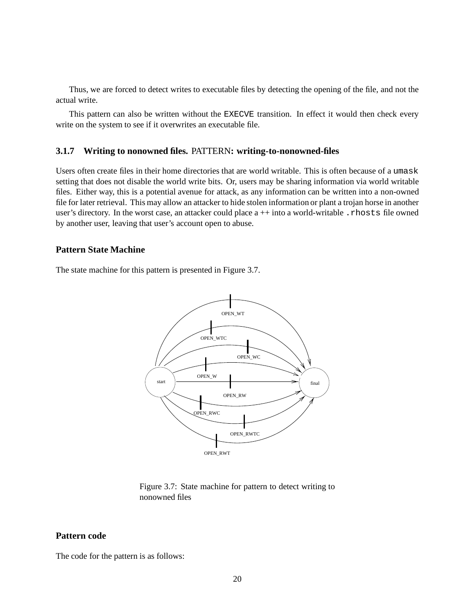Thus, we are forced to detect writes to executable files by detecting the opening of the file, and not the actual write.

This pattern can also be written without the EXECVE transition. In effect it would then check every write on the system to see if it overwrites an executable file.

#### **3.1.7 Writing to nonowned files.** PATTERN**: writing-to-nonowned-files**

Users often create files in their home directories that are world writable. This is often because of a umask setting that does not disable the world write bits. Or, users may be sharing information via world writable files. Either way, this is a potential avenue for attack, as any information can be written into a non-owned file for later retrieval. This may allow an attacker to hide stolen information or plant a trojan horse in another user's directory. In the worst case, an attacker could place  $a++$  into a world-writable . rhosts file owned by another user, leaving that user's account open to abuse.

#### **Pattern State Machine**

The state machine for this pattern is presented in Figure 3.7.



Figure 3.7: State machine for pattern to detect writing to nonowned files

#### **Pattern code**

The code for the pattern is as follows: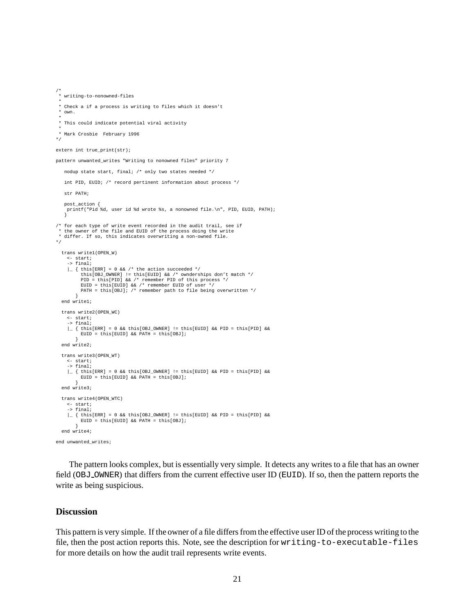```
/*
* writing-to-nonowned-files
 *
* Check a if a process is writing to files which it doesn't
 * own.
 *
* This could indicate potential viral activity
 *
* Mark Crosbie February 1996
*/
extern int true print(str);
pattern unwanted_writes "Writing to nonowned files" priority 7
   nodup state start, final; /* only two states needed */
   int PID, EUID; /* record pertinent information about process */
   str PATH;
   post_action {
printf("Pid %d, user id %d wrote %s, a nonowned file.\n", PID, EUID, PATH);
}
/* for each type of write event recorded in the audit trail, see if
 * the owner of the file and EUID of the process doing the write
* differ. If so, this indicates overwriting a non-owned file.
*/
  trans write1(OPEN_W)
    <- start;
    \rightarrow final;
    \vert { this[ERR] = 0 && /* the action succeeded */
          this[OBJ_OWNER] != this[EUID] && /* ownderships don't match */
          PID = this[PID] && /* remember PID of this process */
EUID = this[EUID] && /* remember EUID of user */
PATH = this[OBJ]; /* remember path to file being overwritten */
  }
end write1;
 trans write2(OPEN_WC)
    <- start;
    - final;
    \vert [ this[ERR] = 0 && this[OBJ_OWNER] != this[EUID] && PID = this[PID] &&
         EUID = this[EUID] && PATH = this[OBJ];
       }
  end write2;
  trans write3(OPEN_WT)
    <- start;
    -> final;
     \vert { this[ERR] = 0 && this[OBJ_OWNER] != this[EUID] && PID = this[PID] && EUID = this[EUID] && PATH = this[OBJ];
  }
end write3;
  trans write4(OPEN_WTC)
    <- start;
     -> final;
    \vert { this[ERR] = 0 && this[OBJ_OWNER] != this[EUID] && PID = this[PID] &&
          EUID = this[EUID] &&&&PATH = this[OBJ];}
end write4;
end unwanted_writes;
```
The pattern looks complex, but is essentially very simple. It detects any writes to a file that has an owner field (OBJ OWNER) that differs from the current effective user ID (EUID). If so, then the pattern reports the write as being suspicious.

#### **Discussion**

This pattern is very simple. If the owner of a file differs from the effective user ID of the process writing to the file, then the post action reports this. Note, see the description for writing-to-executable-files for more details on how the audit trail represents write events.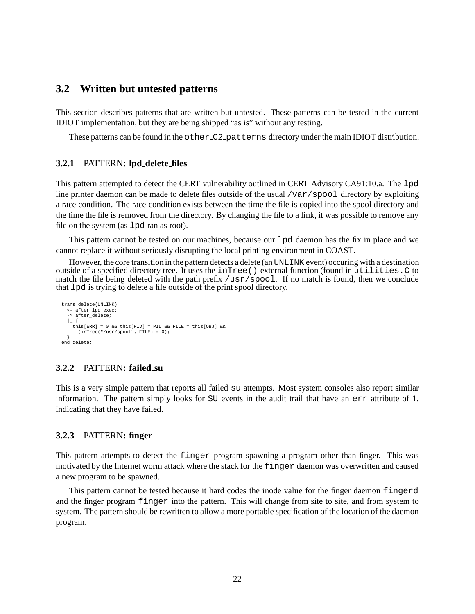## **3.2 Written but untested patterns**

This section describes patterns that are written but untested. These patterns can be tested in the current IDIOT implementation, but they are being shipped "as is" without any testing.

These patterns can be found in the other  $C2$ -patterns directory under the main IDIOT distribution.

#### **3.2.1** PATTERN**: lpd delete files**

This pattern attempted to detect the CERT vulnerability outlined in CERT Advisory CA91:10.a. The lpd line printer daemon can be made to delete files outside of the usual /var/spool directory by exploiting a race condition. The race condition exists between the time the file is copied into the spool directory and the time the file is removed from the directory. By changing the file to a link, it was possible to remove any file on the system (as lpd ran as root).

This pattern cannot be tested on our machines, because our lpd daemon has the fix in place and we cannot replace it without seriously disrupting the local printing environment in COAST.

However, the core transition in the pattern detects a delete (an UNLINK event) occuring with a destination outside of a specified directory tree. It uses the inTree() external function (found in utilities.C to match the file being deleted with the path prefix /usr/spool. If no match is found, then we conclude that lpd is trying to delete a file outside of the print spool directory.

```
trans delete(UNLINK)
  <- after_lpd_exec;
-> after_delete;
  | |this[ERR] = 0 && this[PID] = PID && FILE = this[OBJ] &&
      (inTree("/usr/spool", FILE) = 0);
}
end delete;
```
### **3.2.2** PATTERN**: failed su**

This is a very simple pattern that reports all failed su attempts. Most system consoles also report similar information. The pattern simply looks for SU events in the audit trail that have an err attribute of 1, indicating that they have failed.

#### **3.2.3** PATTERN**: finger**

This pattern attempts to detect the finger program spawning a program other than finger. This was motivated by the Internet worm attack where the stack for the finger daemon was overwritten and caused a new program to be spawned.

This pattern cannot be tested because it hard codes the inode value for the finger daemon fingerd and the finger program finger into the pattern. This will change from site to site, and from system to system. The pattern should be rewritten to allow a more portable specification of the location of the daemon program.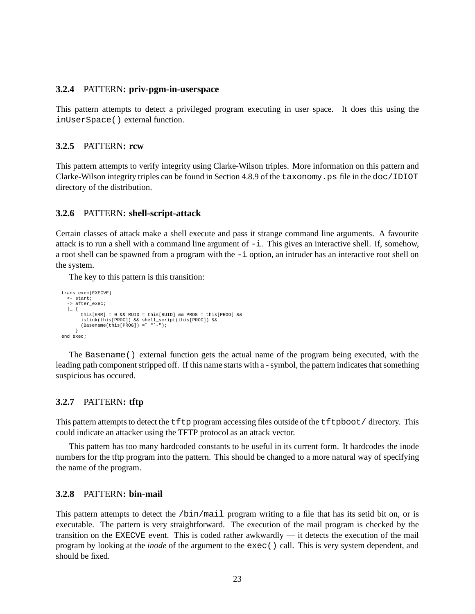#### **3.2.4** PATTERN**: priv-pgm-in-userspace**

This pattern attempts to detect a privileged program executing in user space. It does this using the inUserSpace() external function.

#### **3.2.5** PATTERN**: rcw**

This pattern attempts to verify integrity using Clarke-Wilson triples. More information on this pattern and Clarke-Wilson integrity triples can be found in Section 4.8.9 of the taxonomy.ps file in the doc/IDIOT directory of the distribution.

#### **3.2.6** PATTERN**: shell-script-attack**

Certain classes of attack make a shell execute and pass it strange command line arguments. A favourite attack is to run a shell with a command line argument of  $-i$ . This gives an interactive shell. If, somehow, a root shell can be spawned from a program with the -i option, an intruder has an interactive root shell on the system.

The key to this pattern is this transition:

```
trans exec(EXECVE)
   <- start;
   -> after_exec;
   | {
             this[ERR] = 0 && RUID = this[RUID] && PROG = this[PROG] &&<br>islink(this[PROG]) && shell_script(this[PROG]) &&<br>(Basename(this[PROG]) =~ "^-");
}
end exec;
```
The Basename() external function gets the actual name of the program being executed, with the leading path component stripped off. If this name starts with a - symbol, the pattern indicates that something suspicious has occured.

#### **3.2.7** PATTERN**: tftp**

This pattern attempts to detect the tftp program accessing files outside of the tftpboot/ directory. This could indicate an attacker using the TFTP protocol as an attack vector.

This pattern has too many hardcoded constants to be useful in its current form. It hardcodes the inode numbers for the tftp program into the pattern. This should be changed to a more natural way of specifying the name of the program.

#### **3.2.8** PATTERN**: bin-mail**

This pattern attempts to detect the /bin/mail program writing to a file that has its setid bit on, or is executable. The pattern is very straightforward. The execution of the mail program is checked by the transition on the EXECVE event. This is coded rather awkwardly — it detects the execution of the mail program by looking at the *inode* of the argument to the exec() call. This is very system dependent, and should be fixed.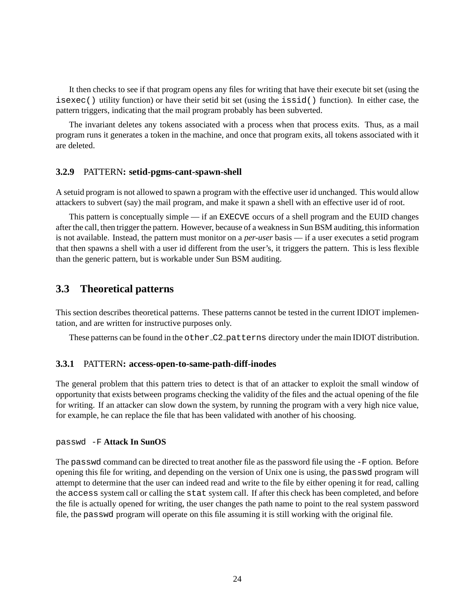It then checks to see if that program opens any files for writing that have their execute bit set (using the isexec() utility function) or have their setid bit set (using the issid() function). In either case, the pattern triggers, indicating that the mail program probably has been subverted.

The invariant deletes any tokens associated with a process when that process exits. Thus, as a mail program runs it generates a token in the machine, and once that program exits, all tokens associated with it are deleted.

#### **3.2.9** PATTERN**: setid-pgms-cant-spawn-shell**

A setuid program is not allowed to spawn a program with the effective user id unchanged. This would allow attackers to subvert (say) the mail program, and make it spawn a shell with an effective user id of root.

This pattern is conceptually simple — if an EXECVE occurs of a shell program and the EUID changes after the call, then trigger the pattern. However, because of a weakness in Sun BSM auditing,this information is not available. Instead, the pattern must monitor on a *per-user* basis — if a user executes a setid program that then spawns a shell with a user id different from the user's, it triggers the pattern. This is less flexible than the generic pattern, but is workable under Sun BSM auditing.

### **3.3 Theoretical patterns**

This section describes theoretical patterns. These patterns cannot be tested in the current IDIOT implementation, and are written for instructive purposes only.

These patterns can be found in the other  $C2$  patterns directory under the main IDIOT distribution.

#### **3.3.1** PATTERN**: access-open-to-same-path-diff-inodes**

The general problem that this pattern tries to detect is that of an attacker to exploit the small window of opportunity that exists between programs checking the validity of the files and the actual opening of the file for writing. If an attacker can slow down the system, by running the program with a very high nice value, for example, he can replace the file that has been validated with another of his choosing.

#### passwd -F **Attack In SunOS**

The passwd command can be directed to treat another file as the password file using the -F option. Before opening this file for writing, and depending on the version of Unix one is using, the passwd program will attempt to determine that the user can indeed read and write to the file by either opening it for read, calling the access system call or calling the stat system call. If after this check has been completed, and before the file is actually opened for writing, the user changes the path name to point to the real system password file, the passwd program will operate on this file assuming it is still working with the original file.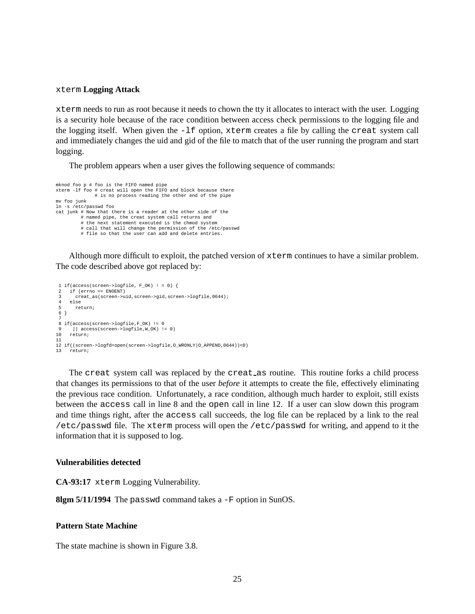#### xterm **Logging Attack**

xterm needs to run as root because it needs to chown the tty it allocates to interact with the user. Logging is a security hole because of the race condition between access check permissions to the logging file and the logging itself. When given the -lf option, xterm creates a file by calling the creat system call and immediately changes the uid and gid of the file to match that of the user running the program and start logging.

The problem appears when a user gives the following sequence of commands:

```
mknod foo p # foo is the FIFO named pipe
xterm -lf foo # creat will open the FIFO and block because there
             # is no process reading the other end of the pipe
mv foo junk
ln -s /etc/passwd foo
cat junk # Now that there is a reader at the other side of the
         # named pipe, the creat system call returns and
         # the next statement executed is the chmod system
         # call that will change the permission of the /etc/passwd
         # file so that the user can add and delete entries.
```
Although more difficult to exploit, the patched version of xterm continues to have a similar problem. The code described above got replaced by:

```
1 if(access(screen->logfile, F_OK) ! = 0) {
    if (errno == ENOENT)
      3 creat_as(screen->uid,screen->gid,screen->logfile,0644);
    61005 return;
6 }
 7
8 if(access(screen->logfile,F_OK) != 0
      || access(screen->logfile, W_OK) != 0)
10 return;
11
12 if((screen->logfd=open(screen->logfile,O_WRONLY|O_APPEND,0644))<0)
13 return;
```
The creat system call was replaced by the creat as routine. This routine forks a child process that changes its permissions to that of the user *before* it attempts to create the file, effectively eliminating the previous race condition. Unfortunately, a race condition, although much harder to exploit, still exists between the access call in line 8 and the open call in line 12. If a user can slow down this program and time things right, after the access call succeeds, the log file can be replaced by a link to the real /etc/passwd file. The xterm process will open the /etc/passwd for writing, and append to it the information that it is supposed to log.

#### **Vulnerabilities detected**

**CA-93:17** xterm Logging Vulnerability.

**8lgm 5/11/1994** The passwd command takes a -F option in SunOS.

#### **Pattern State Machine**

The state machine is shown in Figure 3.8.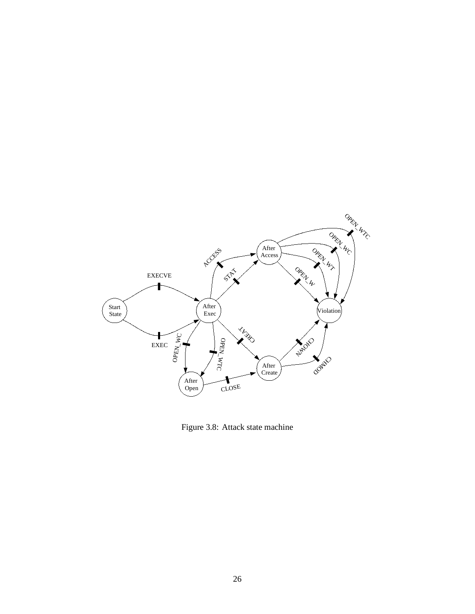

Figure 3.8: Attack state machine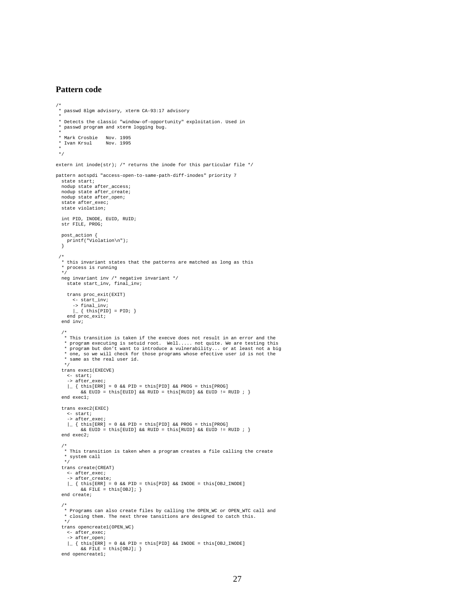#### **Pattern code**

```
/*
* passwd 8lgm advisory, xterm CA-93:17 advisory
 *
* Detects the classic "window-of-opportunity" exploitation. Used in
   passwd program and xterm logging bug.
 *
* Mark Crosbie Nov. 1995
* Ivan Krsul Nov. 1995
 *
*/
extern int inode(str); \ell^* returns the inode for this particular file \ellpattern aotspdi "access-open-to-same-path-diff-inodes" priority 7
  state start;
  nodup state after_access;
  nodup state after_create;
  nodup state after_open;
  state after_exec;
  state violation;
 int PID, INODE, EUID, RUID;
 str FILE, PROG;
  post_action {
printf("Violation\n");
}
 /*
  * this invariant states that the patterns are matched as long as this
 * process is running
  */
neg invariant inv /* negative invariant */
    state start_inv, final_inv;
    trans proc_exit(EXIT)
       <- start_inv;
-> final_inv;
       \vert { this [PID] = PID; }
    end proc_exit;
  end inv;
  /*
   * This transition is taken if the execve does not result in an error and the
    * program executing is setuid root. Well..... not quite. We are testing this
* program but don't want to introduce a vulnerability... or at least not a big
   * one, so we will check for those programs whose efective user id is not the
   * same as the real user id.
  */
trans exec1(EXECVE)
     <- start;
-> after_exec;
     \vert \_ { this[ERR] = 0 && PID = this[PID] && PROG = this[PROG]<br> \& & EUID = this[EUID] && RUID = this[RUID] && EUID != RUID ; }
  end exec1;
  trans exec2(EXEC)
    <- start;
    -> after_exec;
    \vert { this[ERR] = 0 && PID = this[PID] && PROG = this[PROG]
          && EUID = this[EUID] && RUID = this[RUID] && EUID != RUID ; }
  end exec2;
  /*
* This transition is taken when a program creates a file calling the create
   * system call
   */
  trans create(CREAT)
    <- after_exec;<br>-> after create;
     -> after_create;
|_ { this[ERR] = 0 && PID = this[PID] && INODE = this[OBJ_INODE]
&& FILE = this[OBJ]; }
  end create;
  /*
* Programs can also create files by calling the OPEN_WC or OPEN_WTC call and
   * closing them. The next three tansitions are designed to catch this.
   */
  trans opencreate1(OPEN_WC)
    <- after_exec;
    -> after_open;
    \vert { this[ERR] = 0 && PID = this[PID] && INODE = this[OBJ_INODE]
          &\& FILE = this[OBJ]; }
  end opencreate1;
```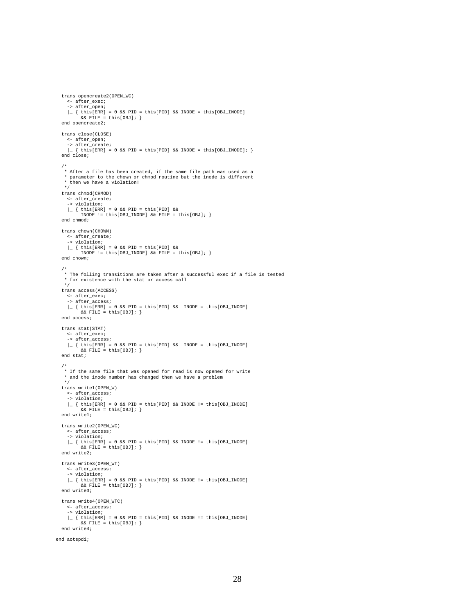trans opencreate2(OPEN\_WC) <- after\_exec; -> after\_open;  $\vert$  { this[ERR] = 0 && PID = this[PID] && INODE = this[OBJ\_INODE]  $&$  FILE = this [OBJ];  $\}$ end opencreate2; trans close(CLOSE) <- after\_open; -> after\_create; |\_ { this[ERR] = 0 && PID = this[PID] && INODE = this[OBJ\_INODE]; } end close; /\* \* After a file has been created, if the same file path was used as a \* parameter to the chown or chmod routine but the inode is different \* then we have a violation! \*/ trans chmod(CHMOD) <- after\_create; -> violation;  $\vert$  { this[ERR] = 0 && PID = this[PID] && INODE != this[OBJ\_INODE] && FILE = this[OBJ]; } end chmod; trans chown(CHOWN) <- after\_create; -> violation;  $\vert$  { this[ERR] = 0 && PID = this[PID] && INODE !=  $this[OBJ\_INODE]$  &&  $FILE = this[OBJ];$ end chown; /\* \* The folling transitions are taken after a successful exec if a file is tested \* for existence with the stat or access call \*/ trans access(ACCESS) <- after\_exec; -> after access;  $\vert$  { this[ERR] = 0 && PID = this[PID] && INODE = this[OBJ\_INODE]  $&\&$  FILE = this[OBJ]; } end access; trans stat(STAT) <- after\_exec; -> after\_access;  $\Box$  { this[ERR] = 0 && PID = this[PID] && INODE = this[OBJ\_INODE]  $\&&$  FILE = this[OBJ]; } end stat; /\* \* If the same file that was opened for read is now opened for write \* and the inode number has changed then we have a problem \*/ trans write1(OPEN\_W) <- after\_access; -> violation; |\_ { this[ERR] = 0 && PID = this[PID] && INODE != this[OBJ\_INODE] && FILE = this[OBJ]; } end write1; trans write2(OPEN\_WC) <- after\_access; -> violation;  $\vert$  { this[ERR] = 0 && PID = this[PID] && INODE != this[OBJ\_INODE]  $&\&$  FILE = this[OBJ]; } end write2; trans write3(OPEN\_WT) <- after\_access; -> violation; |\_ { this[ERR] = 0 && PID = this[PID] && INODE != this[OBJ\_INODE]  $&$  & FILE = this[OBJ]; } end write3; trans write4(OPEN\_WTC) <- after\_access; -> violation; |\_ { this[ERR] = 0 && PID = this[PID] && INODE != this[OBJ\_INODE] && FILE = this[OBJ]; } end write4; end aotspdi;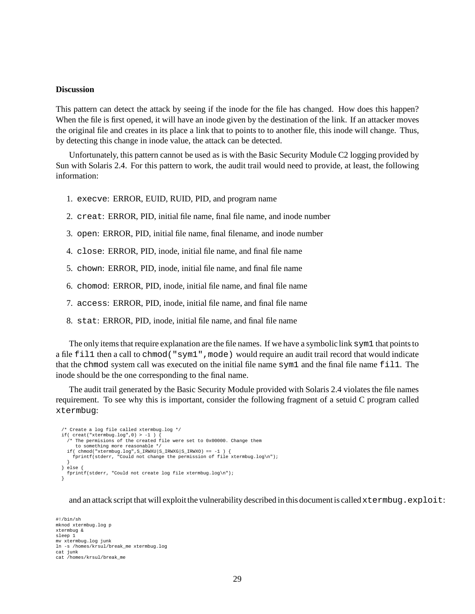#### **Discussion**

This pattern can detect the attack by seeing if the inode for the file has changed. How does this happen? When the file is first opened, it will have an inode given by the destination of the link. If an attacker moves the original file and creates in its place a link that to points to to another file, this inode will change. Thus, by detecting this change in inode value, the attack can be detected.

Unfortunately, this pattern cannot be used as is with the Basic Security Module C2 logging provided by Sun with Solaris 2.4. For this pattern to work, the audit trail would need to provide, at least, the following information:

- 1. execve: ERROR, EUID, RUID, PID, and program name
- 2. creat: ERROR, PID, initial file name, final file name, and inode number
- 3. open: ERROR, PID, initial file name, final filename, and inode number
- 4. close: ERROR, PID, inode, initial file name, and final file name
- 5. chown: ERROR, PID, inode, initial file name, and final file name
- 6. chomod: ERROR, PID, inode, initial file name, and final file name
- 7. access: ERROR, PID, inode, initial file name, and final file name
- 8. stat: ERROR, PID, inode, initial file name, and final file name

The only items that require explanation are the file names. If we have a symboliclink sym1 that points to a file fill then a call to chmod ("sym1", mode) would require an audit trail record that would indicate that the chmod system call was executed on the initial file name sym1 and the final file name fil1. The inode should be the one corresponding to the final name.

The audit trail generated by the Basic Security Module provided with Solaris 2.4 violates the file names requirement. To see why this is important, consider the following fragment of a setuid C program called xtermbug:

```
/* Create a log file called xtermbug.log */
if( creat("xtermbug.log",0) > -1 ) {
/* The permisions of the created file were set to 0x00000. Change them
   to something more reasonable */<br>if( chmod("xtermbug.log",S_IRWXG|S_IRWXO) == -1 ) {<br>fprintf(stderr, "Could not change the permission of file xtermbug.log\n");
}
} else {
  fprintf(stderr, "Could not create log file xtermbug.log\n");
\overline{\mathbf{1}}
```
and an attack script that will exploit the vulnerability described in this document is called xtermbug.exploit:

#!/bin/sh mknod xtermbug.log p xtermbug & sleep 1 mv xtermbug.log junk ln -s /homes/krsul/break\_me xtermbug.log cat junk cat /homes/krsul/break me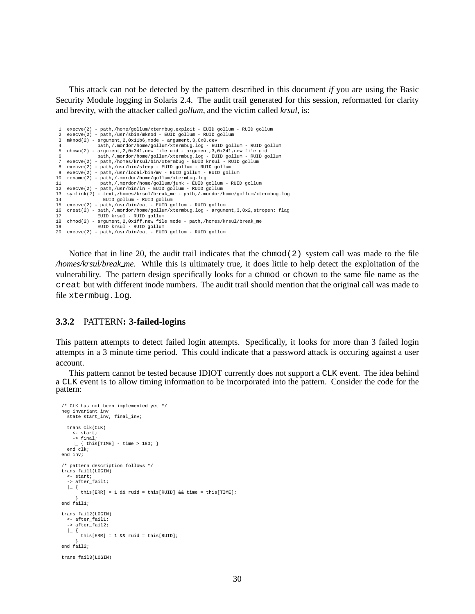This attack can not be detected by the pattern described in this document *if* you are using the Basic Security Module logging in Solaris 2.4. The audit trail generated for this session, reformatted for clarity and brevity, with the attacker called *gollum*, and the victim called *krsul*, is:

```
1 execve(2) - path,/home/gollum/xtermbug.exploit - EUID gollum - RUID gollum<br>2 execue(2) - path /usr/shin/mknod - FUID gollum - FUID gollum
    2 execve(2) - path,/usr/sbin/mknod - EUID gollum - RUID gollum
 3 mknod(2) - argument,2,0x11b6,mode - argument,3,0x0,dev
 4 path,/.mordor/home/gollum/xtermbug.log - EUID gollum - RUID gollum
    chown(2) - argument, 2,0x341, new file uid - argument, 3,0x341, new file gid
 6 path,/.mordor/home/gollum/xtermbug.log - EUID gollum - RUID gollum
 7 execve(2) - path,/homes/krsul/bin/xtermbug - EUID krsul - RUID gollum<br>8 execve(2) - path /usr/bin/sleep - EUID gollum - EUID gollum
 8 execve(2) - path,/usr/bin/sleep - EUID gollum - RUID gollum
9 execve(2) - path,/usr/local/bin/mv - EUID gollum - RUID gollum
10 rename(2) - path,/.mordor/home/gollum/xtermbug.log
11 path,/.mordor/home/gollum/junk - EUID gollum - RUID gollum
12 execve(2) - path,/usr/bin/ln - EUID gollum - RUID gollum
13 symlink(2) - text,/homes/krsul/break_me - path,/.mordor/home/gollum/xtermbug.log<br>14 RUID gollum - RUID gollum
                    14 EUID gollum - RUID gollum
15 execve(2) - path,/usr/bin/cat - EUID gollum - RUID gollum
16 creat(2) - path,/.mordor/home/gollum/xtermbug.log - argument,3,0x2,stropen: flag
17 EUID krsul - RUID gollum<br>18 chmod(2) - argument.2.0x1ff.new file
18 chmod(2) - argument,2,0x1ff,new file mode - path,/homes/krsul/break_me
                  19 EUID krsul - RUID gollum
20 execve(2) - path,/usr/bin/cat - EUID gollum - RUID gollum
```
Notice that in line 20, the audit trail indicates that the chmod(2) system call was made to the file */homes/krsul/break me*. While this is ultimately true, it does little to help detect the exploitation of the vulnerability. The pattern design specifically looks for a chmod or chown to the same file name as the creat but with different inode numbers. The audit trail should mention that the original call was made to file xtermbug.log.

#### **3.3.2** PATTERN**: 3-failed-logins**

This pattern attempts to detect failed login attempts. Specifically, it looks for more than 3 failed login attempts in a 3 minute time period. This could indicate that a password attack is occuring against a user account.

This pattern cannot be tested because IDIOT currently does not support a CLK event. The idea behind a CLK event is to allow timing information to be incorporated into the pattern. Consider the code for the pattern:

```
/* CLK has not been implemented yet */
neg invariant inv
  state start_inv, final_inv;
  trans clk(CLK)
    <- start;
    \Rightarrow final;
  |_ { this[TIME] - time > 180; }
end clk;
end inv;
/* pattern description follows */
trans fail1(LOGIN)
  <- start;
  -> after_fail1;
  | | |this[ERR] = 1 && ruid = this[RUID] && time = this[TIME];
}
end fail1;
trans fail2(LOGIN)
  <- after_fail1;
  -> after_fail2;
  | {
       this[ERR] = 1 && ruid = this[RUID];
}
end fail2;
trans fail3(LOGIN)
```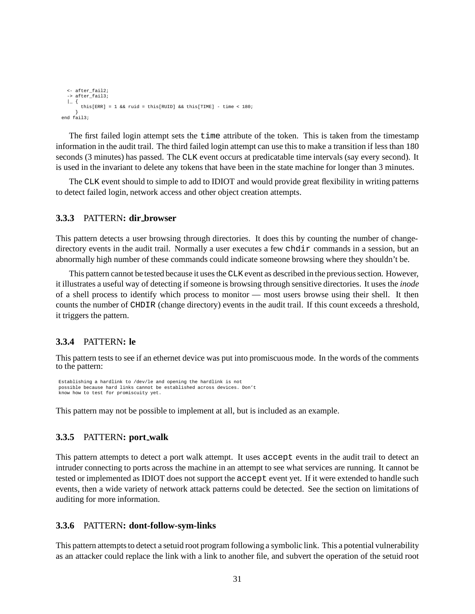```
<- after_fail2;
 -> after_fail3;
 |_{-} {
      this[ERR] = 1 && ruid = this[RUID] && this[TIME] - time < 180i}
end fail3;
```
The first failed login attempt sets the time attribute of the token. This is taken from the timestamp information in the audit trail. The third failed login attempt can use this to make a transition if less than 180 seconds (3 minutes) has passed. The CLK event occurs at predicatable time intervals (say every second). It is used in the invariant to delete any tokens that have been in the state machine for longer than 3 minutes.

The CLK event should to simple to add to IDIOT and would provide great flexibility in writing patterns to detect failed login, network access and other object creation attempts.

#### **3.3.3** PATTERN**: dir browser**

This pattern detects a user browsing through directories. It does this by counting the number of changedirectory events in the audit trail. Normally a user executes a few chdir commands in a session, but an abnormally high number of these commands could indicate someone browsing where they shouldn't be.

This pattern cannot be tested because it uses the CLK event as described in the previous section. However, it illustrates a useful way of detecting if someone is browsing through sensitive directories. It uses the *inode* of a shell process to identify which process to monitor — most users browse using their shell. It then counts the number of CHDIR (change directory) events in the audit trail. If this count exceeds a threshold, it triggers the pattern.

#### **3.3.4** PATTERN**: le**

This pattern tests to see if an ethernet device was put into promiscuous mode. In the words of the comments to the pattern:

```
Establishing a hardlink to /dev/le and opening the hardlink is not
possible because hard links cannot be established across devices. Don't
know how to test for promiscuity yet.
```
This pattern may not be possible to implement at all, but is included as an example.

### **3.3.5** PATTERN**: port walk**

This pattern attempts to detect a port walk attempt. It uses accept events in the audit trail to detect an intruder connecting to ports across the machine in an attempt to see what services are running. It cannot be tested or implemented as IDIOT does not support the accept event yet. If it were extended to handle such events, then a wide variety of network attack patterns could be detected. See the section on limitations of auditing for more information.

#### **3.3.6** PATTERN**: dont-follow-sym-links**

This pattern attempts to detect a setuid root program following a symbolic link. This a potential vulnerability as an attacker could replace the link with a link to another file, and subvert the operation of the setuid root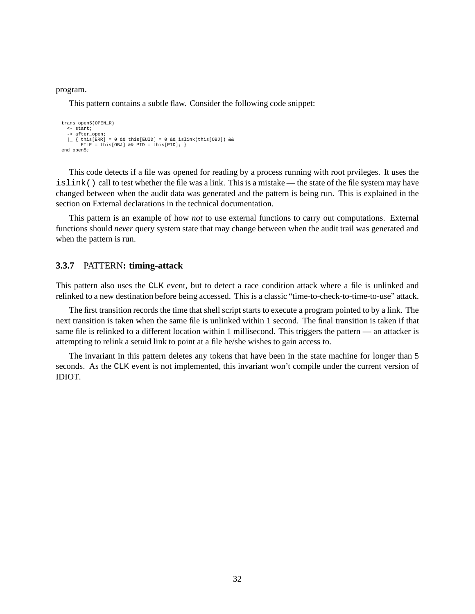#### program.

This pattern contains a subtle flaw. Consider the following code snippet:

```
trans open5(OPEN_R)
  <- start;
  -> after_open;
  \vert { this[ERR] = 0 && this[EUID] = 0 && islink(this[OBJ]) &&
       FILE = this[OBJ] && PID = this[PID]; }end open5;
```
This code detects if a file was opened for reading by a process running with root prvileges. It uses the islink() call to test whether the file was a link. This is a mistake — the state of the file system may have changed between when the audit data was generated and the pattern is being run. This is explained in the section on External declarations in the technical documentation.

This pattern is an example of how *not* to use external functions to carry out computations. External functions should *never* query system state that may change between when the audit trail was generated and when the pattern is run.

#### **3.3.7** PATTERN**: timing-attack**

This pattern also uses the CLK event, but to detect a race condition attack where a file is unlinked and relinked to a new destination before being accessed. This is a classic "time-to-check-to-time-to-use" attack.

The first transition records the time that shell script starts to execute a program pointed to by a link. The next transition is taken when the same file is unlinked within 1 second. The final transition is taken if that same file is relinked to a different location within 1 millisecond. This triggers the pattern — an attacker is attempting to relink a setuid link to point at a file he/she wishes to gain access to.

The invariant in this pattern deletes any tokens that have been in the state machine for longer than 5 seconds. As the CLK event is not implemented, this invariant won't compile under the current version of IDIOT.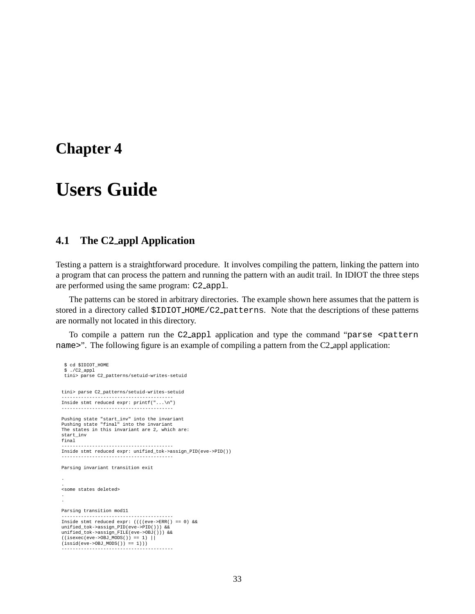## **Chapter 4**

## **Users Guide**

## **4.1 The C2 appl Application**

Testing a pattern is a straightforward procedure. It involves compiling the pattern, linking the pattern into a program that can process the pattern and running the pattern with an audit trail. In IDIOT the three steps are performed using the same program: C2 appl.

The patterns can be stored in arbitrary directories. The example shown here assumes that the pattern is stored in a directory called  $$IDIOT$_HOME/C2$ -patterns. Note that the descriptions of these patterns are normally not located in this directory.

To compile a pattern run the C2\_appl application and type the command "parse <pattern name>". The following figure is an example of compiling a pattern from the C2\_appl application:

```
$ cd $IDIOT_HOME
 $ ./C2_appl
 tini> parse C2_patterns/setuid-writes-setuid
tini> parse C2_patterns/setuid-writes-setuid
----------------------------------------
Inside stmt reduced expr: printf("...\n")
----------------------------------------
Pushing state "start_inv" into the invariant
Pushing state "final" into the invariant
The states in this invariant are 2, which are:
start_inv
final
----------------------------------------
Inside stmt reduced expr: unified_tok->assign_PID(eve->PID())
----------------------------------------
Parsing invariant transition exit
.
.
<some states deleted>
.
.
Parsing transition mod11
----------------------------------------
Inside stmt reduced expr: ((((eve->ERR() == 0) &&
unified tok->assign PID(eve->PID())) &&
unified_tok->assign_FILE(eve->OBJ())) &&
((isexec(eve->OBJ_MODS()) == 1) ||
(issid(eve->OBJ_MODS()) == 1)))
----------------------------------------
```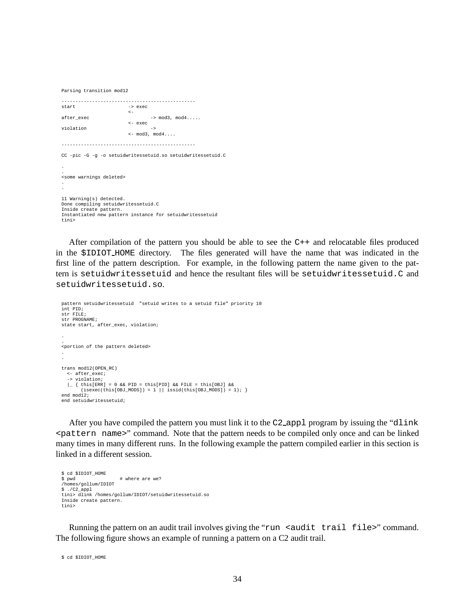Parsing transition mod12

------------------------------------------------ -> exec  $\prec$  $after$  exec  $\longrightarrow$  mod3, mod4.... <- exec violation  $\leq$  mod3, mod4.... ------------------------------------------------ CC -pic -G -g -o setuidwritessetuid.so setuidwritessetuid.C . . <some warnings deleted> . . 11 Warning(s) detected. Done compiling setuidwritessetuid.C Inside create pattern. Instantiated new pattern instance for setuidwritessetuid tini>

After compilation of the pattern you should be able to see the C++ and relocatable files produced in the \$IDIOT HOME directory. The files generated will have the name that was indicated in the first line of the pattern description. For example, in the following pattern the name given to the pattern is setuidwritessetuid and hence the resultant files will be setuidwritessetuid.C and setuidwritessetuid.so.

```
pattern setuidwritessetuid "setuid writes to a setuid file" priority 10
int PID;
str FILE;
str PROGNAME;
state start, after_exec, violation;
.
.
<portion of the pattern deleted>
.
.
trans mod12(OPEN_RC)
  <- after_exec;
  -> violation;
   \vert { this[ERR] = 0 && PID = this[PID] && FILE = this[OBJ] &&<br>(isexec(this[OBJ_MODS]) = 1 || issid(this[OBJ_MODS]) = 1); }
end mod12;
end setuidwritessetuid;
```
After you have compiled the pattern you must link it to the C2<sub>-appl</sub> program by issuing the "dlink" <pattern name>" command. Note that the pattern needs to be compiled only once and can be linked many times in many different runs. In the following example the pattern compiled earlier in this section is linked in a different session.

```
$ cd $IDIOT_HOME
                    # where are we?
/homes/gollum/IDIOT
$./C2app1tini> dlink /homes/gollum/IDIOT/setuidwritessetuid.so
Inside create pattern.
tini>
```
Running the pattern on an audit trail involves giving the "run <audit trail file>" command. The following figure shows an example of running a pattern on a C2 audit trail.

```
$ cd $IDIOT_HOME
```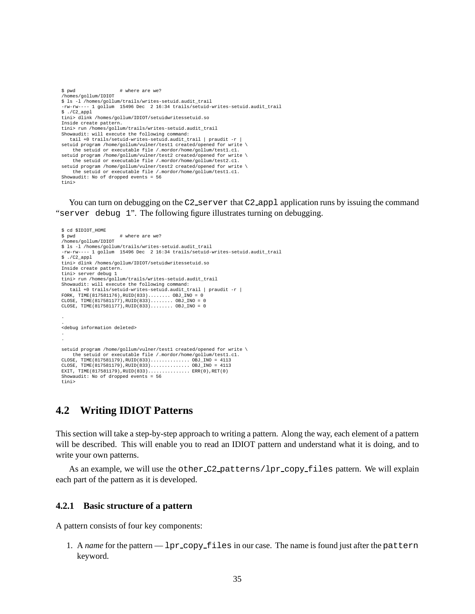```
$ pwd # where are we?
/homes/gollum/IDIOT
$ ls -l /homes/gollum/trails/writes-setuid.audit_trail
-rw-rw---- 1 gollum 15496 Dec 2 16:34 trails/setuid-writes-setuid.audit_trail
$ ./C2_appl
tini> dlink /homes/gollum/IDIOT/setuidwritessetuid.so
Inside create pattern.
tini> run /homes/gollum/trails/writes-setuid.audit_trail
Showaudit: will execute the following command:
   tail +0 trails/setuid-writes-setuid.audit_trail | praudit -r |
setuid program /home/gollum/vulner/test1 created/opened for write \
    the setuid or executable file /.mordor/home/gollum/test1.c1.
setuid program /home/gollum/vulner/test2 created/opened for write \
    the setuid or executable file /.mordor/home/gollum/test2.c1.
setuid program /home/gollum/vulner/test2 created/opened for write
the setuid or executable file /.mordor/home/gollum/test1.c1.
Showaudit: No of dropped events = 56
tini>
```
You can turn on debugging on the C2\_server that C2\_app1 application runs by issuing the command "server debug 1". The following figure illustrates turning on debugging.

```
$ cd $IDIOT_HOME
                          # where are we?
/homes/gollum/IDIOT
$ ls -l /homes/gollum/trails/writes-setuid.audit_trail
v -rw-rw---- 1 gollum 15496 Dec 2 16:34 trails/setuid-writes-setuid.audit_trail<br>-rw-rw---- 1 gollum 15496 Dec 2 16:34 trails/setuid-writes-setuid.audit_trail<br>$ ./C2 appl
  ./C2_appl
tini> dlink /homes/gollum/IDIOT/setuidwritessetuid.so
Inside create pattern.
tini> server debug 1
tini> run /homes/gollum/trails/writes-setuid.audit_trail
Showaudit: will execute the following command:
   tail +0 trails/setuid-writes-setuid.audit_trail | praudit -r |
FORK, TIME(817581176),RUID(833)........ OBJ_INO = 0
CLOSE, TIME(817581177),RUID(833)........ OBJ_INO = 0
CLOSE, TIME(817581177),RUID(833)........ OBJ_INO = 0
.
.
<debug information deleted>
.
.
setuid program /home/gollum/vulner/test1 created/opened for write \
    the setuid or executable file /.mordor/home/gollum/test1.c1.
CLOSE, TIME(817581179),RUID(833).............. OBJ_INO = 4113
CLOSE, TIME(817581179),RUID(833).............. OBJ_INO = 4113
EXIT, TIME(817581179),RUID(833)............... ERR(0),RET(0)
Showaudit: No of dropped events = 56
tini>
```
## **4.2 Writing IDIOT Patterns**

This section will take a step-by-step approach to writing a pattern. Along the way, each element of a pattern will be described. This will enable you to read an IDIOT pattern and understand what it is doing, and to write your own patterns.

As an example, we will use the other C2 patterns/lpr copy files pattern. We will explain each part of the pattern as it is developed.

#### **4.2.1 Basic structure of a pattern**

A pattern consists of four key components:

1. A *name* for the pattern — lpr copy files in our case. The name is found just after the pattern keyword.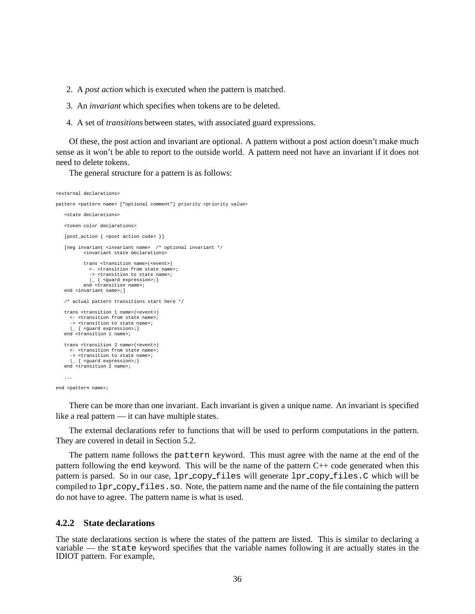2. A *post action* which is executed when the pattern is matched.

3. An *invariant* which specifies when tokens are to be deleted.

4. A set of *transitions* between states, with associated guard expressions.

Of these, the post action and invariant are optional. A pattern without a post action doesn't make much sense as it won't be able to report to the outside world. A pattern need not have an invariant if it does not need to delete tokens.

The general structure for a pattern is as follows:

```
<external declarations>
pattern <pattern name> ["optional comment"] priority <priority value>
   <state declarations>
   <token color declarations>
   [post_action { <post action code> }]
   [neg invariant <invariant name> /* optional invariant */
          <invariant state declarations>
          trans <transition name>(<event>)
            <- <transition from state name>;
             -> <transition to state name>;
           |_ { <guard expression>;}
end <transition name>;
   end <invariant name>; ]
   /* actual pattern transitions start here */
   trans <transition 1 name>(<event>)
     <- <transition from state name>;
     -> <transition to state name>;
   |_ { <guard expression>;}
end <transition 1 name>;
   trans <transition 2 name>(<event>)
     <- <transition from state name>;
     -> <transition to state name>;
     |_ { <guard expression>;}
   end <transition 2 name>;
   ...
end <pattern name>;
```
There can be more than one invariant. Each invariant is given a unique name. An invariant is specified like a real pattern — it can have multiple states.

The external declarations refer to functions that will be used to perform computations in the pattern. They are covered in detail in Section 5.2.

The pattern name follows the pattern keyword. This must agree with the name at the end of the pattern following the end keyword. This will be the name of the pattern C++ code generated when this pattern is parsed. So in our case, lpr copy files will generate lpr copy files.C which will be compiled to  $1pr_{\text{copy_{\text{files}}}}$ .so. Note, the pattern name and the name of the file containing the pattern do not have to agree. The pattern name is what is used.

#### **4.2.2 State declarations**

The state declarations section is where the states of the pattern are listed. This is similar to declaring a variable — the state keyword specifies that the variable names following it are actually states in the IDIOT pattern. For example,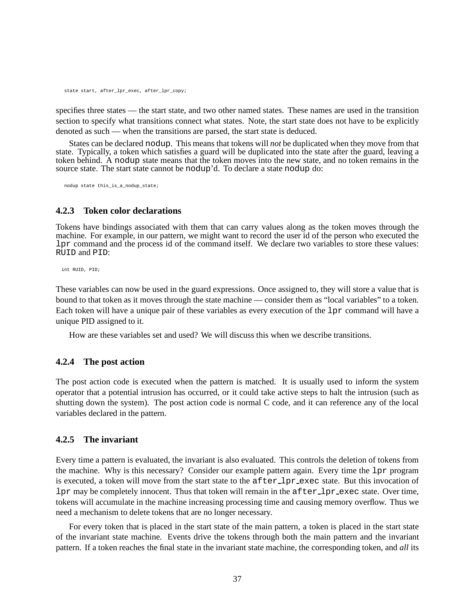state start, after lpr\_exec, after\_lpr\_copy;

specifies three states — the start state, and two other named states. These names are used in the transition section to specify what transitions connect what states. Note, the start state does not have to be explicitly denoted as such — when the transitions are parsed, the start state is deduced.

States can be declared nodup. This means that tokens will *not* be duplicated when they move from that state. Typically, a token which satisfies a guard will be duplicated into the state after the guard, leaving a token behind. A nodup state means that the token moves into the new state, and no token remains in the source state. The start state cannot be nodup'd. To declare a state nodup do:

nodup state this\_is\_a\_nodup\_state;

#### **4.2.3 Token color declarations**

Tokens have bindings associated with them that can carry values along as the token moves through the machine. For example, in our pattern, we might want to record the user id of the person who executed the lpr command and the process id of the command itself. We declare two variables to store these values: RUID and PID:

int RUID, PID;

These variables can now be used in the guard expressions. Once assigned to, they will store a value that is bound to that token as it moves through the state machine — consider them as "local variables" to a token. Each token will have a unique pair of these variables as every execution of the lpr command will have a unique PID assigned to it.

How are these variables set and used? We will discuss this when we describe transitions.

#### **4.2.4 The post action**

The post action code is executed when the pattern is matched. It is usually used to inform the system operator that a potential intrusion has occurred, or it could take active steps to halt the intrusion (such as shutting down the system). The post action code is normal C code, and it can reference any of the local variables declared in the pattern.

#### **4.2.5 The invariant**

Every time a pattern is evaluated, the invariant is also evaluated. This controls the deletion of tokens from the machine. Why is this necessary? Consider our example pattern again. Every time the lpr program is executed, a token will move from the start state to the after lpr exec state. But this invocation of lpr may be completely innocent. Thus that token will remain in the after lpr exec state. Over time, tokens will accumulate in the machine increasing processing time and causing memory overflow. Thus we need a mechanism to delete tokens that are no longer necessary.

For every token that is placed in the start state of the main pattern, a token is placed in the start state of the invariant state machine. Events drive the tokens through both the main pattern and the invariant pattern. If a token reaches the final state in the invariant state machine, the corresponding token, and *all* its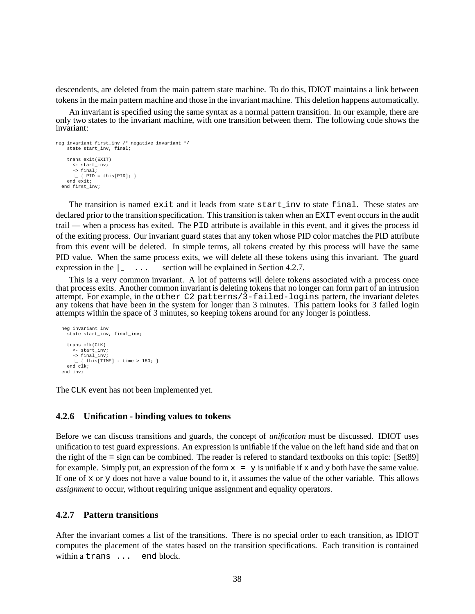descendents, are deleted from the main pattern state machine. To do this, IDIOT maintains a link between tokens in the main pattern machine and those in the invariant machine. This deletion happens automatically.

An invariant is specified using the same syntax as a normal pattern transition. In our example, there are only two states to the invariant machine, with one transition between them. The following code shows the invariant:

```
neg invariant first_inv /* negative invariant */
   state start inv, final;
    trans exit(EXIT)
      <- start_inv;
      -> final;
      \vert \_ { PID = this[PID]; }
   end exit;
  end first_inv;
```
The transition is named exit and it leads from state start inv to state final. These states are declared prior to the transition specification. This transition is taken when an EXIT event occurs in the audit trail — when a process has exited. The PID attribute is available in this event, and it gives the process id of the exiting process. Our invariant guard states that any token whose PID color matches the PID attribute from this event will be deleted. In simple terms, all tokens created by this process will have the same PID value. When the same process exits, we will delete all these tokens using this invariant. The guard expression in the  $\vert \cdot \vert$ ... section will be explained in Section 4.2.7.

This is a very common invariant. A lot of patterns will delete tokens associated with a process once that process exits. Another common invariant is deleting tokens that no longer can form part of an intrusion attempt. For example, in the other C2 patterns/3-failed-logins pattern, the invariant deletes any tokens that have been in the system for longer than 3 minutes. This pattern looks for 3 failed login attempts within the space of 3 minutes, so keeping tokens around for any longer is pointless.

```
neg invariant inv
  state start_inv, final_inv;
  trans clk(CLK)
    <- start_inv;
    -> final_inv;
    \left\{\right. { this [TIME] - time > 180; }
  end clk;
end inv;
```
The CLK event has not been implemented yet.

#### **4.2.6 Unification - binding values to tokens**

Before we can discuss transitions and guards, the concept of *unification* must be discussed. IDIOT uses unification to test guard expressions. An expression is unifiable if the value on the left hand side and that on the right of the = sign can be combined. The reader is refered to standard textbooks on this topic: [Set89] for example. Simply put, an expression of the form  $x = y$  is unifiable if x and y both have the same value. If one of  $x$  or  $y$  does not have a value bound to it, it assumes the value of the other variable. This allows *assignment* to occur, without requiring unique assignment and equality operators.

#### **4.2.7 Pattern transitions**

After the invariant comes a list of the transitions. There is no special order to each transition, as IDIOT computes the placement of the states based on the transition specifications. Each transition is contained within a trans ... end block.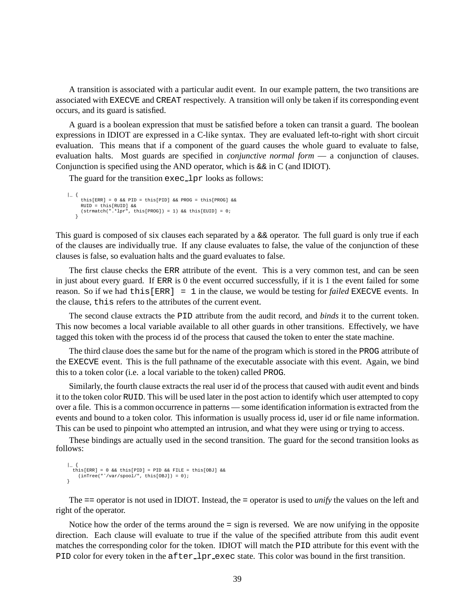A transition is associated with a particular audit event. In our example pattern, the two transitions are associated with EXECVE and CREAT respectively. A transition will only be taken if its corresponding event occurs, and its guard is satisfied.

A guard is a boolean expression that must be satisfied before a token can transit a guard. The boolean expressions in IDIOT are expressed in a C-like syntax. They are evaluated left-to-right with short circuit evaluation. This means that if a component of the guard causes the whole guard to evaluate to false, evaluation halts. Most guards are specified in *conjunctive normal form* — a conjunction of clauses. Conjunction is specified using the AND operator, which is  $\&&\&\infty$  in C (and IDIOT).

The guard for the transition exec\_lpr looks as follows:

```
| {
       this[ERR] = 0 && PID = this[PID] && PROG = this[PROG] &&
RUID = this[RUID] &&
      (\text{strument}(".*lpr", \text{this}[\text{PROG}]) = 1) \&\text{this}[\text{EUID}] = 0;}
```
This guard is composed of six clauses each separated by a  $&&\textcircled{a}$  operator. The full guard is only true if each of the clauses are individually true. If any clause evaluates to false, the value of the conjunction of these clauses is false, so evaluation halts and the guard evaluates to false.

The first clause checks the ERR attribute of the event. This is a very common test, and can be seen in just about every guard. If ERR is 0 the event occurred successfully, if it is 1 the event failed for some reason. So if we had this[ERR] = 1 in the clause, we would be testing for *failed* EXECVE events. In the clause, this refers to the attributes of the current event.

The second clause extracts the PID attribute from the audit record, and *binds* it to the current token. This now becomes a local variable available to all other guards in other transitions. Effectively, we have tagged this token with the process id of the process that caused the token to enter the state machine.

The third clause does the same but for the name of the program which is stored in the PROG attribute of the EXECVE event. This is the full pathname of the executable associate with this event. Again, we bind this to a token color (i.e. a local variable to the token) called PROG.

Similarly, the fourth clause extracts the real user id of the process that caused with audit event and binds it to the token color RUID. This will be used later in the post action to identify which user attempted to copy over a file. This is a common occurrence in patterns — some identification information is extracted from the events and bound to a token color. This information is usually process id, user id or file name information. This can be used to pinpoint who attempted an intrusion, and what they were using or trying to access.

These bindings are actually used in the second transition. The guard for the second transition looks as follows:

```
| {
    this[ERR] = 0 && this[PID] = PID && FILE = this[OBJ] &&
(inTree("ˆ/var/spool/", this[OBJ]) = 0);
}
```
The == operator is not used in IDIOT. Instead, the = operator is used to *unify* the values on the left and right of the operator.

Notice how the order of the terms around the = sign is reversed. We are now unifying in the opposite direction. Each clause will evaluate to true if the value of the specified attribute from this audit event matches the corresponding color for the token. IDIOT will match the PID attribute for this event with the PID color for every token in the after lpr exec state. This color was bound in the first transition.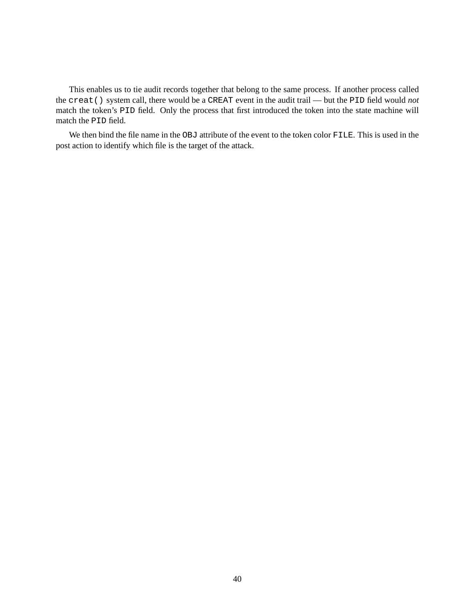This enables us to tie audit records together that belong to the same process. If another process called the creat() system call, there would be a CREAT event in the audit trail — but the PID field would *not* match the token's PID field. Only the process that first introduced the token into the state machine will match the PID field.

We then bind the file name in the OBJ attribute of the event to the token color FILE. This is used in the post action to identify which file is the target of the attack.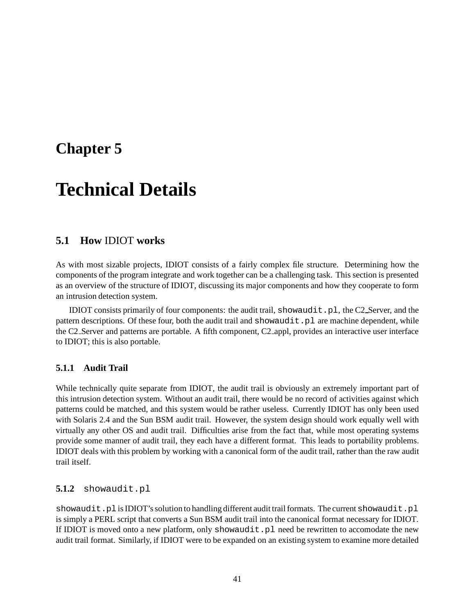## **Chapter 5**

# **Technical Details**

## **5.1 How** IDIOT **works**

As with most sizable projects, IDIOT consists of a fairly complex file structure. Determining how the components of the program integrate and work together can be a challenging task. This section is presented as an overview of the structure of IDIOT, discussing its major components and how they cooperate to form an intrusion detection system.

IDIOT consists primarily of four components: the audit trail, showaudit.pl, the C2 Server, and the pattern descriptions. Of these four, both the audit trail and showaudit.pl are machine dependent, while the C2 Server and patterns are portable. A fifth component, C2 appl, provides an interactive user interface to IDIOT; this is also portable.

#### **5.1.1 Audit Trail**

While technically quite separate from IDIOT, the audit trail is obviously an extremely important part of this intrusion detection system. Without an audit trail, there would be no record of activities against which patterns could be matched, and this system would be rather useless. Currently IDIOT has only been used with Solaris 2.4 and the Sun BSM audit trail. However, the system design should work equally well with virtually any other OS and audit trail. Difficulties arise from the fact that, while most operating systems provide some manner of audit trail, they each have a different format. This leads to portability problems. IDIOT deals with this problem by working with a canonical form of the audit trail, rather than the raw audit trail itself.

#### **5.1.2** showaudit.pl

showaudit.pl is IDIOT's solution to handling different audit trail formats. The current showaudit.pl is simply a PERL script that converts a Sun BSM audit trail into the canonical format necessary for IDIOT. If IDIOT is moved onto a new platform, only showaudit.pl need be rewritten to accomodate the new audit trail format. Similarly, if IDIOT were to be expanded on an existing system to examine more detailed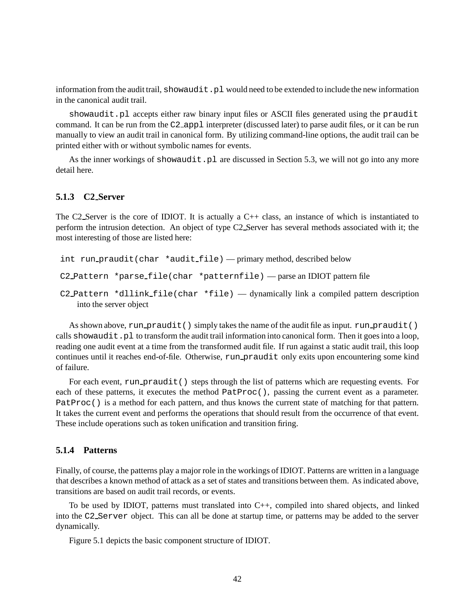information from the audit trail, showaudit.pl would need to be extended to include the new information in the canonical audit trail.

showaudit.pl accepts either raw binary input files or ASCII files generated using the praudit command. It can be run from the C2 appl interpreter (discussed later) to parse audit files, or it can be run manually to view an audit trail in canonical form. By utilizing command-line options, the audit trail can be printed either with or without symbolic names for events.

As the inner workings of showaudit.pl are discussed in Section 5.3, we will not go into any more detail here.

#### **5.1.3 C2 Server**

The C2 Server is the core of IDIOT. It is actually a C++ class, an instance of which is instantiated to perform the intrusion detection. An object of type C2 Server has several methods associated with it; the most interesting of those are listed here:

```
int run praudit(char *audit file) — primary method, described below
C2 Pattern *parse file(char *patternfile) — parse an IDIOT pattern file
C2 Pattern *dllink file(char *file) — dynamically link a compiled pattern description
   into the server object
```
As shown above,  $run\_praudit()$  simply takes the name of the audit file as input.  $run\_praudit()$ calls showaudit.pl to transform the audit trail information into canonical form. Then it goes into a loop, reading one audit event at a time from the transformed audit file. If run against a static audit trail, this loop continues until it reaches end-of-file. Otherwise, run praudit only exits upon encountering some kind of failure.

For each event, run praudit () steps through the list of patterns which are requesting events. For each of these patterns, it executes the method PatProc(), passing the current event as a parameter. PatProc() is a method for each pattern, and thus knows the current state of matching for that pattern. It takes the current event and performs the operations that should result from the occurrence of that event. These include operations such as token unification and transition firing.

#### **5.1.4 Patterns**

Finally, of course, the patterns play a major role in the workings of IDIOT. Patterns are written in a language that describes a known method of attack as a set of states and transitions between them. As indicated above, transitions are based on audit trail records, or events.

To be used by IDIOT, patterns must translated into C++, compiled into shared objects, and linked into the C2 Server object. This can all be done at startup time, or patterns may be added to the server dynamically.

Figure 5.1 depicts the basic component structure of IDIOT.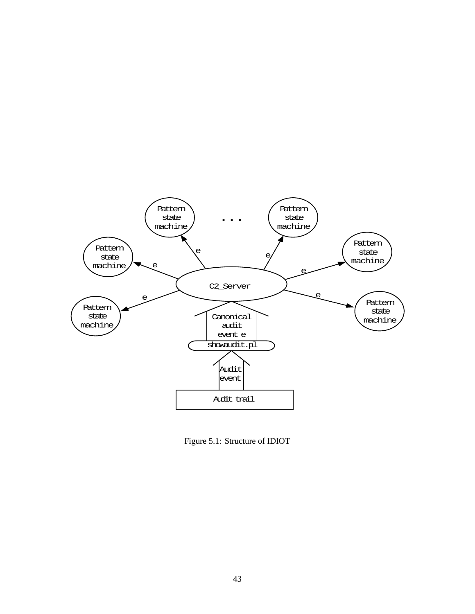

Figure 5.1: Structure of IDIOT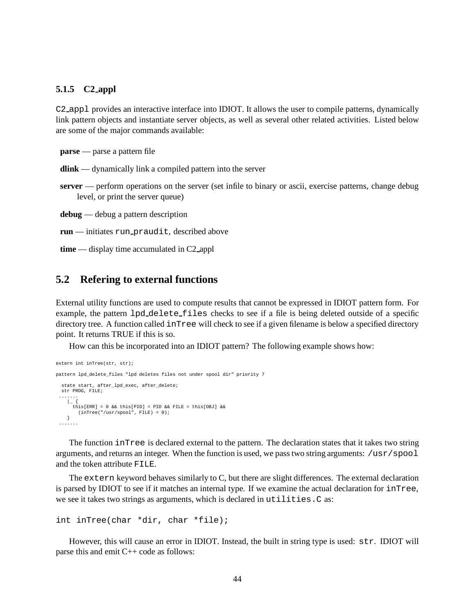#### **5.1.5 C2 appl**

C2 appl provides an interactive interface into IDIOT. It allows the user to compile patterns, dynamically link pattern objects and instantiate server objects, as well as several other related activities. Listed below are some of the major commands available:

**parse** — parse a pattern file

**dlink** — dynamically link a compiled pattern into the server

**server** — perform operations on the server (set infile to binary or ascii, exercise patterns, change debug level, or print the server queue)

**debug** — debug a pattern description

```
run — initiates run praudit, described above
```
**time** — display time accumulated in C2 appl

### **5.2 Refering to external functions**

External utility functions are used to compute results that cannot be expressed in IDIOT pattern form. For example, the pattern lpd delete files checks to see if a file is being deleted outside of a specific directory tree. A function called inTree will check to see if a given filename is below a specified directory point. It returns TRUE if this is so.

How can this be incorporated into an IDIOT pattern? The following example shows how:

```
extern int inTree(str, str);
pattern lpd_delete_files "lpd deletes files not under spool dir" priority 7
 state start, after_lpd_exec, after_delete;
 str PROG, FILE;
 .......
   | | |this[ERR] = 0 && this[PID] = PID && FILE = this[OBJ] &&
       (inTree("/usr/spool", FILE) = 0);
   }
 .......
```
The function inTree is declared external to the pattern. The declaration states that it takes two string arguments, and returns an integer. When the function is used, we pass two string arguments: /usr/spool and the token attribute FILE.

The extern keyword behaves similarly to C, but there are slight differences. The external declaration is parsed by IDIOT to see if it matches an internal type. If we examine the actual declaration for inTree, we see it takes two strings as arguments, which is declared in utilities. C as:

```
int inTree(char *dir, char *file);
```
However, this will cause an error in IDIOT. Instead, the built in string type is used: str. IDIOT will parse this and emit C++ code as follows: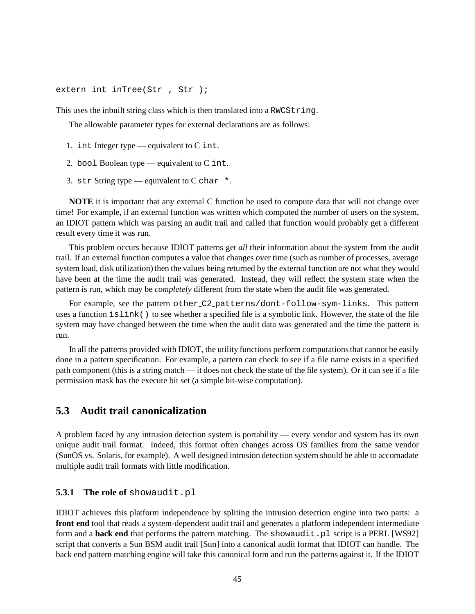extern int inTree(Str, Str);

This uses the inbuilt string class which is then translated into a RWCString.

The allowable parameter types for external declarations are as follows:

- 1. int Integer type equivalent to C int.
- 2. bool Boolean type equivalent to  $C$  int.
- 3. str String type equivalent to C char  $*$ .

**NOTE** it is important that any external C function be used to compute data that will not change over time! For example, if an external function was written which computed the number of users on the system, an IDIOT pattern which was parsing an audit trail and called that function would probably get a different result every time it was run.

This problem occurs because IDIOT patterns get *all* their information about the system from the audit trail. If an external function computes a value that changes over time (such as number of processes, average system load, disk utilization) then the values being returned by the external function are not what they would have been at the time the audit trail was generated. Instead, they will reflect the system state when the pattern is run, which may be *completely* different from the state when the audit file was generated.

For example, see the pattern other C2 patterns/dont-follow-sym-links. This pattern uses a function islink() to see whether a specified file is a symbolic link. However, the state of the file system may have changed between the time when the audit data was generated and the time the pattern is run.

In all the patterns provided with IDIOT, the utility functions perform computations that cannot be easily done in a pattern specification. For example, a pattern can check to see if a file name exists in a specified path component (this is a string match — it does not check the state of the file system). Or it can see if a file permission mask has the execute bit set (a simple bit-wise computation).

## **5.3 Audit trail canonicalization**

A problem faced by any intrusion detection system is portability — every vendor and system has its own unique audit trail format. Indeed, this format often changes across OS families from the same vendor (SunOS vs. Solaris, for example). A well designed intrusion detection system should be able to accomadate multiple audit trail formats with little modification.

#### **5.3.1 The role of** showaudit.pl

IDIOT achieves this platform independence by spliting the intrusion detection engine into two parts: a **front end** tool that reads a system-dependent audit trail and generates a platform independent intermediate form and a **back end** that performs the pattern matching. The showaudit.pl script is a PERL [WS92] script that converts a Sun BSM audit trail [Sun] into a canonical audit format that IDIOT can handle. The back end pattern matching engine will take this canonical form and run the patterns against it. If the IDIOT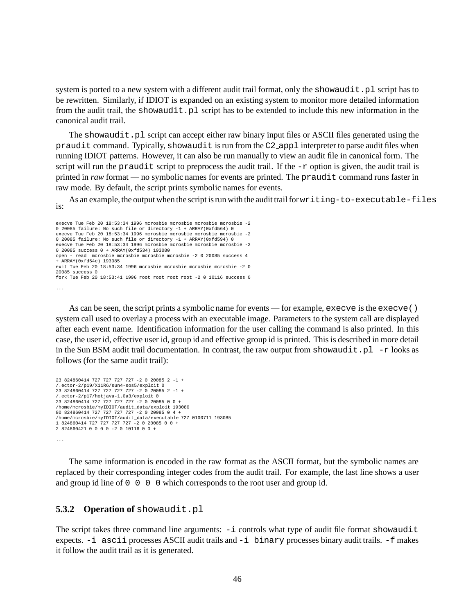system is ported to a new system with a different audit trail format, only the showaudit. pl script has to be rewritten. Similarly, if IDIOT is expanded on an existing system to monitor more detailed information from the audit trail, the showaudit.pl script has to be extended to include this new information in the canonical audit trail.

The showaudit.pl script can accept either raw binary input files or ASCII files generated using the praudit command. Typically, showaudit is run from the C2 appl interpreter to parse audit files when running IDIOT patterns. However, it can also be run manually to view an audit file in canonical form. The script will run the praudit script to preprocess the audit trail. If the  $-r$  option is given, the audit trail is printed in *raw* format — no symbolic names for events are printed. The praudit command runs faster in raw mode. By default, the script prints symbolic names for events.

As an example, the output when the script is run with the audit trail for writing-to-executable-files is:

```
execve Tue Feb 20 18:53:34 1996 mcrosbie mcrosbie mcrosbie mcrosbie -2
0 20085 failure: No such file or directory -1 + ARRAY(0xfd564) 0
execve Tue Feb 20 18:53:34 1996 mcrosbie mcrosbie mcrosbie mcrosbie -2
0 20085 failure: No such file or directory -1 + ARRAY(0xfd594) 0
execve Tue Feb 20 18:53:34 1996 mcrosbie mcrosbie mcrosbie mcrosbie -2
0 20085 success 0 + ARRAY(0xfd534) 193080
open - read mcrosbie mcrosbie mcrosbie mcrosbie -2 0 20085 success 4
+ ARRAY(0xfd54c) 193085
exit Tue Feb 20 18:53:34 1996 mcrosbie mcrosbie mcrosbie mcrosbie -2 0
20085 success 0
fork Tue Feb 20 18:53:41 1996 root root root root -2 0 10116 success 0
...
```
As can be seen, the script prints a symbolic name for events — for example, execve is the execve  $()$ system call used to overlay a process with an executable image. Parameters to the system call are displayed after each event name. Identification information for the user calling the command is also printed. In this case, the user id, effective user id, group id and effective group id is printed. This is described in more detail in the Sun BSM audit trail documentation. In contrast, the raw output from showaudit.pl  $-$ r looks as follows (for the same audit trail):

```
23 824860414 727 727 727 727 -2 0 20085 2 -1 +
/.ector-2/p19/X11R6/sun4-sos5/exploit 0
23 824860414 727 727 727 727 -2 0 20085 2 -1 +
/.ector-2/p17/hotjava-1.0a3/exploit 0
23 824860414 727 727 727 727 -2 0 2008500+
/home/mcrosbie/myIDIOT/audit_data/exploit 193080
80 824860414 727 727 727 727 -2 0 2008504+
/home/mcrosbie/myIDIOT/audit_data/executable 727 0100711 193085
1 824860414 727 727 727 727 -2 0 2008500+
2 824860421 0 0 0 0 -2 0 10116 0 0 +
...
```
The same information is encoded in the raw format as the ASCII format, but the symbolic names are replaced by their corresponding integer codes from the audit trail. For example, the last line shows a user and group id line of  $0 \t 0 \t 0$  which corresponds to the root user and group id.

#### **5.3.2 Operation of** showaudit.pl

The script takes three command line arguments:  $-i$  controls what type of audit file format showaudit expects. -i ascii processes ASCII audit trails and -i binary processes binary audit trails. -f makes it follow the audit trail as it is generated.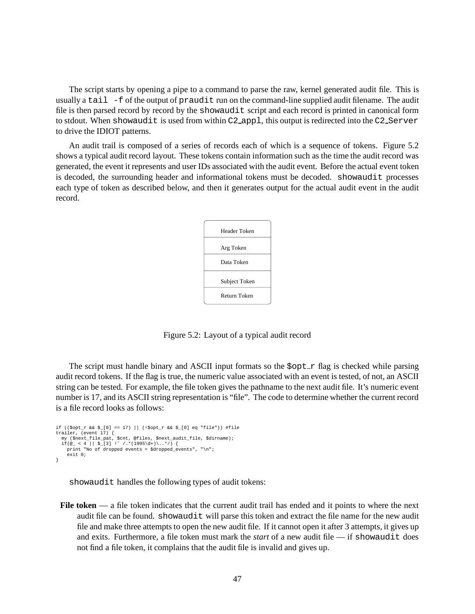The script starts by opening a pipe to a command to parse the raw, kernel generated audit file. This is usually a tail -f of the output of praudit run on the command-line supplied audit filename. The audit file is then parsed record by record by the showaudit script and each record is printed in canonical form to stdout. When showaudit is used from within C2<sub>-app1</sub>, this output is redirected into the C2<sub>-Server</sub> to drive the IDIOT patterns.

An audit trail is composed of a series of records each of which is a sequence of tokens. Figure 5.2 shows a typical audit record layout. These tokens contain information such as the time the audit record was generated, the event it represents and user IDs associated with the audit event. Before the actual event token is decoded, the surrounding header and informational tokens must be decoded. showaudit processes each type of token as described below, and then it generates output for the actual audit event in the audit record.



Figure 5.2: Layout of a typical audit record

The script must handle binary and ASCII input formats so the  $Sopt-r$  flag is checked while parsing audit record tokens. If the flag is true, the numeric value associated with an event is tested, of not, an ASCII string can be tested. For example, the file token gives the pathname to the next audit file. It's numeric event number is 17, and its ASCII string representation is "file". The code to determine whether the current record is a file record looks as follows:

```
if (($opt_r && $_[0] == 17) || (!$opt_r && $_[0] eq "file")) #file
trailer, (event 17) {
    my ($next_file_pat, $cnt, @files, $next_audit_file, $dirname);<br>if(@_ < 4 || $_[3] !~ /.*(1995\d+)\..*/) {<br>print "No of dropped events = $dropped_events", "\n";
      exit 0;
}
```
showaudit handles the following types of audit tokens:

**File token** — a file token indicates that the current audit trail has ended and it points to where the next audit file can be found. showaudit will parse this token and extract the file name for the new audit file and make three attempts to open the new audit file. If it cannot open it after 3 attempts, it gives up and exits. Furthermore, a file token must mark the *start* of a new audit file — if showaudit does not find a file token, it complains that the audit file is invalid and gives up.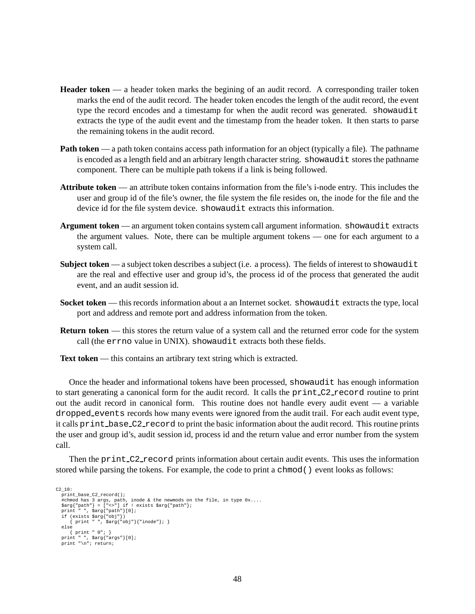- **Header token** a header token marks the begining of an audit record. A corresponding trailer token marks the end of the audit record. The header token encodes the length of the audit record, the event type the record encodes and a timestamp for when the audit record was generated. showaudit extracts the type of the audit event and the timestamp from the header token. It then starts to parse the remaining tokens in the audit record.
- **Path token** a path token contains access path information for an object (typically a file). The pathname is encoded as a length field and an arbitrary length character string. showaudit stores the pathname component. There can be multiple path tokens if a link is being followed.
- **Attribute token** an attribute token contains information from the file's i-node entry. This includes the user and group id of the file's owner, the file system the file resides on, the inode for the file and the device id for the file system device. showaudit extracts this information.
- **Argument token** an argument token contains system call argument information. showaudit extracts the argument values. Note, there can be multiple argument tokens — one for each argument to a system call.
- **Subject token** a subject token describes a subject (i.e. a process). The fields of interest to showaudit are the real and effective user and group id's, the process id of the process that generated the audit event, and an audit session id.
- **Socket token** this records information about a an Internet socket. showaudit extracts the type, local port and address and remote port and address information from the token.
- **Return token** this stores the return value of a system call and the returned error code for the system call (the errno value in UNIX). showaudit extracts both these fields.

**Text token** — this contains an artibrary text string which is extracted.

Once the header and informational tokens have been processed, showaudit has enough information to start generating a canonical form for the audit record. It calls the print C2 record routine to print out the audit record in canonical form. This routine does not handle every audit event — a variable dropped events records how many events were ignored from the audit trail. For each audit event type, it calls print base C2 record to print the basic information about the audit record. This routine prints the user and group id's, audit session id, process id and the return value and error number from the system call.

Then the print\_C2\_record prints information about certain audit events. This uses the information stored while parsing the tokens. For example, the code to print a chmod () event looks as follows:

```
C2_10:
   print_base_C2_record();
    #chmod has 3 args, path, inode & the newmods on the file, in type 0x....
$arg{"path"} = ["<>"] if ! exists $arg{"path"};
print " ", $arg{"path"}[0];
    if (exists $arg{"obj"})
{ print " ", $arg{"obj"}{"inode"}; }
   else
        { print " 0"; }
    print " ", $arg{"args"}[0];
print "\n"; return;
```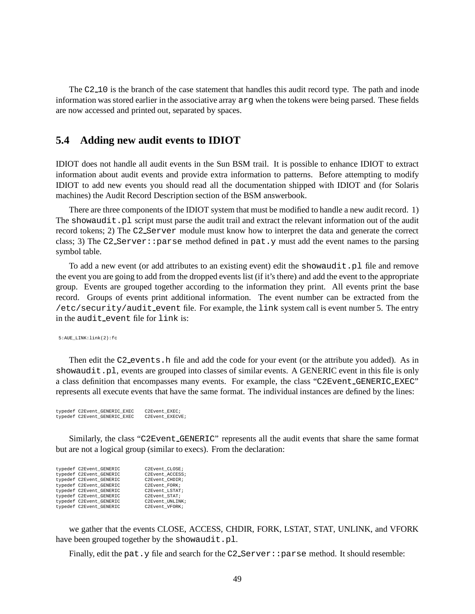The C2<sub>-10</sub> is the branch of the case statement that handles this audit record type. The path and inode information was stored earlier in the associative array arg when the tokens were being parsed. These fields are now accessed and printed out, separated by spaces.

## **5.4 Adding new audit events to IDIOT**

IDIOT does not handle all audit events in the Sun BSM trail. It is possible to enhance IDIOT to extract information about audit events and provide extra information to patterns. Before attempting to modify IDIOT to add new events you should read all the documentation shipped with IDIOT and (for Solaris machines) the Audit Record Description section of the BSM answerbook.

There are three components of the IDIOT system that must be modified to handle a new audit record. 1) The showaudit. pl script must parse the audit trail and extract the relevant information out of the audit record tokens; 2) The C2 Server module must know how to interpret the data and generate the correct class; 3) The C2\_Server::parse method defined in pat.y must add the event names to the parsing symbol table.

To add a new event (or add attributes to an existing event) edit the showaudit.pl file and remove the event you are going to add from the dropped events list (if it's there) and add the event to the appropriate group. Events are grouped together according to the information they print. All events print the base record. Groups of events print additional information. The event number can be extracted from the  $/etc/security/audit$ , For example, the link system call is event number 5. The entry in the audit\_event file for link is:

5:AUE\_LINK:link(2):fc

Then edit the C2 events. h file and add the code for your event (or the attribute you added). As in showaudit.pl, events are grouped into classes of similar events. A GENERIC event in this file is only a class definition that encompasses many events. For example, the class "C2Event\_GENERIC\_EXEC" represents all execute events that have the same format. The individual instances are defined by the lines:

```
typedef C2Event_GENERIC_EXEC C2Event_EXEC;
typedef C2Event_GENERIC_EXEC
```
Similarly, the class "C2Event GENERIC" represents all the audit events that share the same format but are not a logical group (similar to execs). From the declaration:

| typedef C2Event GENERIC | C2Event CLOSE;  |
|-------------------------|-----------------|
| typedef C2Event GENERIC | C2Event ACCESS; |
| typedef C2Event GENERIC | C2Event CHDIR;  |
| typedef C2Event GENERIC | C2Event FORK;   |
| typedef C2Event GENERIC | C2Event LSTAT;  |
| typedef C2Event GENERIC | C2Event STAT;   |
| typedef C2Event GENERIC | C2Event UNLINK; |
| typedef C2Event GENERIC | C2Event VFORK;  |

we gather that the events CLOSE, ACCESS, CHDIR, FORK, LSTAT, STAT, UNLINK, and VFORK have been grouped together by the showaudit.pl.

Finally, edit the pat. y file and search for the C2\_Server::parse method. It should resemble: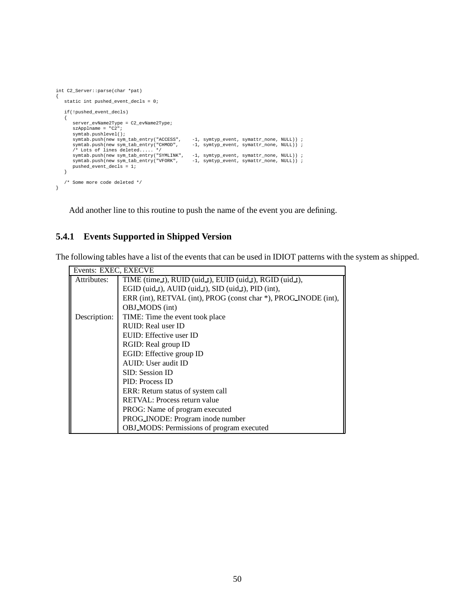```
int C2_Server::parse(char *pat)
{
   static int pushed_event_decls = 0;
    if(!pushed_event_decls)
    {
       server_evName2Type = C2_evName2Type;
       szApplname = "C2";
       symtab.pushlevel();
        symtab.push(new sym_tab_entry("ACCESS", -1, symtyp_event, symattr_none, NULL));<br>symtab.push(new sym_tab_entry("CHMOD", -1, symtyp_event, symattr_none, NULL));<br>/* Lots of lines deleted..... */<br>symtab.push(new sym_tab_entry(
       pushed_event_decls = 1;
    }
    /* Some more code deleted */
}
```
Add another line to this routine to push the name of the event you are defining.

## **5.4.1 Events Supported in Shipped Version**

The following tables have a list of the events that can be used in IDIOT patterns with the system as shipped.

| Events: EXEC, EXECVE |                                                                 |
|----------------------|-----------------------------------------------------------------|
| Attributes:          | TIME (time_t), RUID (uid_t), EUID (uid_t), RGID (uid_t),        |
|                      | EGID (uid_t), AUID (uid_t), SID (uid_t), PID (int),             |
|                      | ERR (int), RETVAL (int), PROG (const char *), PROG_INODE (int), |
|                      | OBJ_MODS (int)                                                  |
| Description:         | TIME: Time the event took place                                 |
|                      | RUID: Real user ID                                              |
|                      | EUID: Effective user ID                                         |
|                      | RGID: Real group ID                                             |
|                      | EGID: Effective group ID                                        |
|                      | AUID: User audit ID                                             |
|                      | SID: Session ID                                                 |
|                      | PID: Process ID                                                 |
|                      | ERR: Return status of system call                               |
|                      | RETVAL: Process return value                                    |
|                      | PROG: Name of program executed                                  |
|                      | PROG INODE: Program inode number                                |
|                      | OBJ_MODS: Permissions of program executed                       |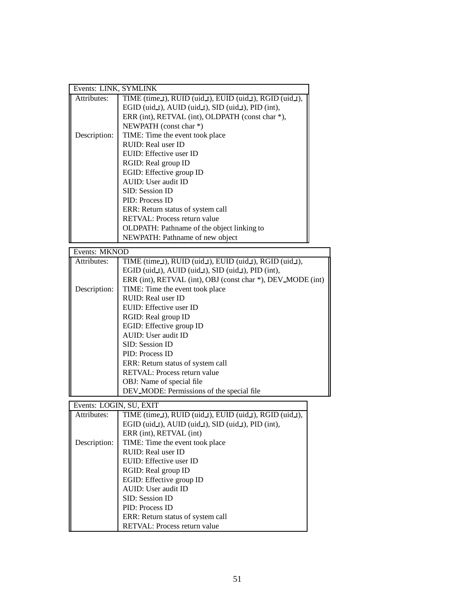| Events: LINK, SYMLINK |                                                          |  |
|-----------------------|----------------------------------------------------------|--|
| Attributes:           | TIME (time_t), RUID (uid_t), EUID (uid_t), RGID (uid_t), |  |
|                       | EGID (uid_t), AUID (uid_t), SID (uid_t), PID (int),      |  |
|                       | ERR (int), RETVAL (int), OLDPATH (const char *),         |  |
|                       | NEWPATH (const char *)                                   |  |
| Description:          | TIME: Time the event took place                          |  |
|                       | RUID: Real user ID                                       |  |
|                       | EUID: Effective user ID                                  |  |
|                       | RGID: Real group ID                                      |  |
|                       | EGID: Effective group ID                                 |  |
|                       | AUID: User audit ID                                      |  |
|                       | SID: Session ID                                          |  |
|                       | PID: Process ID                                          |  |
|                       | ERR: Return status of system call                        |  |
|                       | RETVAL: Process return value                             |  |
|                       | OLDPATH: Pathname of the object linking to               |  |
|                       | NEWPATH: Pathname of new object                          |  |
| $F$ vante: MKNOD      |                                                          |  |

| EVEILS: MININULL |                                                                      |
|------------------|----------------------------------------------------------------------|
| Attributes:      | TIME (time $t$ ), RUID (uid $t$ ), EUID (uid $t$ ), RGID (uid $t$ ), |
|                  | EGID (uid_t), AUID (uid_t), SID (uid_t), PID (int),                  |
|                  | ERR (int), RETVAL (int), OBJ (const char *), DEV_MODE (int)          |
| Description:     | TIME: Time the event took place                                      |
|                  | RUID: Real user ID                                                   |
|                  | EUID: Effective user ID                                              |
|                  | RGID: Real group ID                                                  |
|                  | EGID: Effective group ID                                             |
|                  | AUID: User audit ID                                                  |
|                  | SID: Session ID                                                      |
|                  | PID: Process ID                                                      |
|                  | ERR: Return status of system call                                    |
|                  | <b>RETVAL:</b> Process return value                                  |
|                  | OBJ: Name of special file                                            |
|                  | DEV_MODE: Permissions of the special file                            |

Events: LOGIN, SU, EXIT

| Events: LOGIN, SU, EXIT |                                                                    |  |
|-------------------------|--------------------------------------------------------------------|--|
| Attributes:             | TIME (time_t), RUID (uid_t), EUID (uid_t), RGID (uid_t),           |  |
|                         | EGID (uid $\pm$ ), AUID (uid $\pm$ ), SID (uid $\pm$ ), PID (int), |  |
|                         | ERR (int), RETVAL (int)                                            |  |
| Description:            | TIME: Time the event took place                                    |  |
|                         | RUID: Real user ID                                                 |  |
|                         | EUID: Effective user ID                                            |  |
|                         | RGID: Real group ID                                                |  |
|                         | EGID: Effective group ID                                           |  |
|                         | AUID: User audit ID                                                |  |
|                         | SID: Session ID                                                    |  |
|                         | PID: Process ID                                                    |  |
|                         | ERR: Return status of system call                                  |  |
|                         | <b>RETVAL:</b> Process return value                                |  |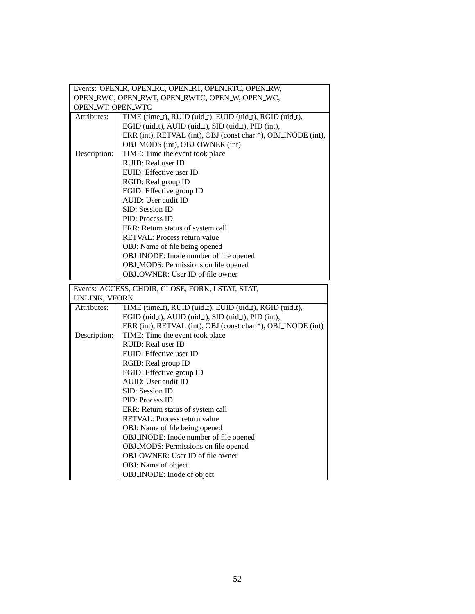| Events: OPEN_R, OPEN_RC, OPEN_RT, OPEN_RTC, OPEN_RW, |                                                               |  |
|------------------------------------------------------|---------------------------------------------------------------|--|
| OPEN_RWC, OPEN_RWT, OPEN_RWTC, OPEN_W, OPEN_WC,      |                                                               |  |
| OPEN WT, OPEN WTC                                    |                                                               |  |
| Attributes:                                          | TIME (time_t), RUID (uid_t), EUID (uid_t), RGID (uid_t),      |  |
|                                                      | EGID (uid_t), AUID (uid_t), SID (uid_t), PID (int),           |  |
|                                                      | ERR (int), RETVAL (int), OBJ (const char *), OBJ_INODE (int), |  |
|                                                      | OBJ_MODS (int), OBJ_OWNER (int)                               |  |
| Description:                                         | TIME: Time the event took place                               |  |
|                                                      | RUID: Real user ID                                            |  |
|                                                      | EUID: Effective user ID                                       |  |
|                                                      | RGID: Real group ID                                           |  |
|                                                      | EGID: Effective group ID                                      |  |
|                                                      | AUID: User audit ID                                           |  |
|                                                      | SID: Session ID                                               |  |
|                                                      | PID: Process ID                                               |  |
|                                                      | ERR: Return status of system call                             |  |
|                                                      | RETVAL: Process return value                                  |  |
|                                                      | OBJ: Name of file being opened                                |  |
|                                                      | OBJ_INODE: Inode number of file opened                        |  |
|                                                      | OBJ_MODS: Permissions on file opened                          |  |
|                                                      | OBJ_OWNER: User ID of file owner                              |  |
|                                                      |                                                               |  |
|                                                      |                                                               |  |
|                                                      | Events: ACCESS, CHDIR, CLOSE, FORK, LSTAT, STAT,              |  |
| UNLINK, VFORK<br>Attributes:                         | TIME (time_t), RUID (uid_t), EUID (uid_t), RGID (uid_t),      |  |
|                                                      | EGID (uid_t), AUID (uid_t), SID (uid_t), PID (int),           |  |
|                                                      | ERR (int), RETVAL (int), OBJ (const char *), OBJ_INODE (int)  |  |
| Description:                                         | TIME: Time the event took place                               |  |
|                                                      | RUID: Real user ID                                            |  |
|                                                      | EUID: Effective user ID                                       |  |
|                                                      | RGID: Real group ID                                           |  |
|                                                      | EGID: Effective group ID                                      |  |
|                                                      | AUID: User audit ID                                           |  |
|                                                      | SID: Session ID                                               |  |
|                                                      | PID: Process ID                                               |  |
|                                                      | ERR: Return status of system call                             |  |
|                                                      | RETVAL: Process return value                                  |  |
|                                                      | OBJ: Name of file being opened                                |  |
|                                                      | OBJ_INODE: Inode number of file opened                        |  |
|                                                      | OBJ_MODS: Permissions on file opened                          |  |
|                                                      | OBJ_OWNER: User ID of file owner                              |  |
|                                                      | OBJ: Name of object<br>OBJ_INODE: Inode of object             |  |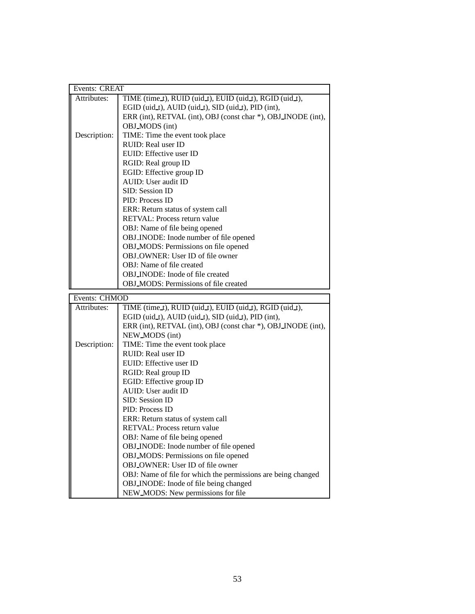| Events: CREAT |                                                                              |
|---------------|------------------------------------------------------------------------------|
| Attributes:   | TIME (time_t), RUID (uid_t), EUID (uid_t), RGID (uid_t),                     |
|               | EGID (uid_t), AUID (uid_t), SID (uid_t), PID (int),                          |
|               | ERR (int), RETVAL (int), OBJ (const char *), OBJ_INODE (int),                |
|               | OBJ_MODS (int)                                                               |
| Description:  | TIME: Time the event took place                                              |
|               | RUID: Real user ID                                                           |
|               | EUID: Effective user ID                                                      |
|               | RGID: Real group ID                                                          |
|               | EGID: Effective group ID                                                     |
|               | AUID: User audit ID                                                          |
|               | SID: Session ID                                                              |
|               | PID: Process ID                                                              |
|               | ERR: Return status of system call                                            |
|               | RETVAL: Process return value                                                 |
|               | OBJ: Name of file being opened                                               |
|               | OBJ_INODE: Inode number of file opened                                       |
|               | OBJ_MODS: Permissions on file opened                                         |
|               | OBJ_OWNER: User ID of file owner                                             |
|               | OBJ: Name of file created                                                    |
|               | <b>OBJ_INODE:</b> Inode of file created                                      |
|               | OBJ_MODS: Permissions of file created                                        |
|               |                                                                              |
|               |                                                                              |
| Events: CHMOD |                                                                              |
| Attributes:   | TIME (time_t), RUID (uid_t), EUID (uid_t), RGID (uid_t),                     |
|               | EGID (uid_t), AUID (uid_t), SID (uid_t), PID (int),                          |
|               | ERR (int), RETVAL (int), OBJ (const char *), OBJ_INODE (int),                |
|               | NEW_MODS (int)                                                               |
| Description:  | TIME: Time the event took place                                              |
|               | RUID: Real user ID                                                           |
|               | EUID: Effective user ID                                                      |
|               | RGID: Real group ID                                                          |
|               | EGID: Effective group ID                                                     |
|               | AUID: User audit ID                                                          |
|               | SID: Session ID                                                              |
|               | PID: Process ID                                                              |
|               | ERR: Return status of system call                                            |
|               | RETVAL: Process return value                                                 |
|               | OBJ: Name of file being opened                                               |
|               | OBJ_INODE: Inode number of file opened                                       |
|               | OBJ_MODS: Permissions on file opened                                         |
|               | OBJ_OWNER: User ID of file owner                                             |
|               | OBJ: Name of file for which the permissions are being changed                |
|               | OBJ_INODE: Inode of file being changed<br>NEW_MODS: New permissions for file |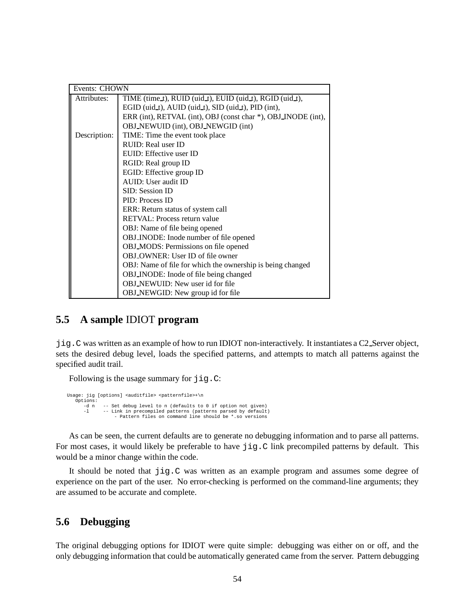| Events: CHOWN |                                                               |
|---------------|---------------------------------------------------------------|
| Attributes:   | TIME (time_t), RUID (uid_t), EUID (uid_t), RGID (uid_t),      |
|               | EGID (uid_t), AUID (uid_t), SID (uid_t), PID (int),           |
|               | ERR (int), RETVAL (int), OBJ (const char *), OBJ_INODE (int), |
|               | OBJ_NEWUID (int), OBJ_NEWGID (int)                            |
| Description:  | TIME: Time the event took place                               |
|               | RUID: Real user ID                                            |
|               | EUID: Effective user ID                                       |
|               | RGID: Real group ID                                           |
|               | EGID: Effective group ID                                      |
|               | AUID: User audit ID                                           |
|               | SID: Session ID                                               |
|               | PID: Process ID                                               |
|               | ERR: Return status of system call                             |
|               | <b>RETVAL:</b> Process return value                           |
|               | OBJ: Name of file being opened                                |
|               | OBJ_INODE: Inode number of file opened                        |
|               | OBJ_MODS: Permissions on file opened                          |
|               | OBJ_OWNER: User ID of file owner                              |
|               | OBJ: Name of file for which the ownership is being changed    |
|               | OBJ_INODE: Inode of file being changed                        |
|               | <b>OBJ_NEWUID:</b> New user id for file                       |
|               | OBJ_NEWGID: New group id for file                             |

## **5.5 A sample** IDIOT **program**

jig.C was written as an example of how to run IDIOT non-interactively. It instantiates a C2 Server object, sets the desired debug level, loads the specified patterns, and attempts to match all patterns against the specified audit trail.

Following is the usage summary for jig.C:

```
Usage: jig [options] <auditfile> <patternfile>+\n
   Options:
       -d n -- Set debug level to n (defaults to 0 if option not given)<br>-1 -- Link in precompiled patterns (patterns parsed by default
                -- Link in precompiled patterns (patterns parsed by default)
                     - Pattern files on command line should be *.so versions
```
As can be seen, the current defaults are to generate no debugging information and to parse all patterns. For most cases, it would likely be preferable to have  $\exists \exists g \in C$  link precompiled patterns by default. This would be a minor change within the code.

It should be noted that jig.C was written as an example program and assumes some degree of experience on the part of the user. No error-checking is performed on the command-line arguments; they are assumed to be accurate and complete.

## **5.6 Debugging**

The original debugging options for IDIOT were quite simple: debugging was either on or off, and the only debugging information that could be automatically generated came from the server. Pattern debugging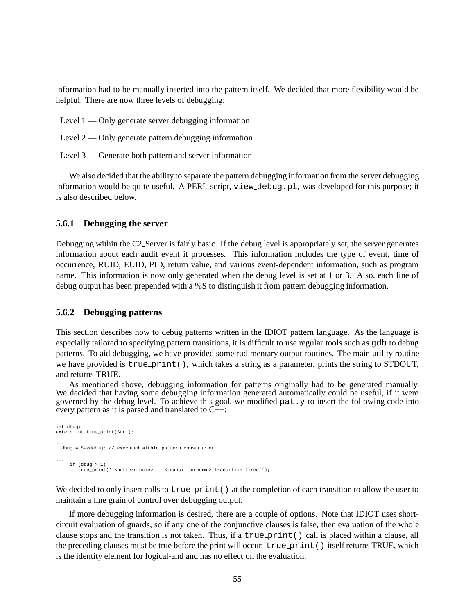information had to be manually inserted into the pattern itself. We decided that more flexibility would be helpful. There are now three levels of debugging:

- Level 1 Only generate server debugging information
- Level  $2$  Only generate pattern debugging information
- Level 3 Generate both pattern and server information

We also decided that the ability to separate the pattern debugging information from the server debugging information would be quite useful. A PERL script, view debug.pl, was developed for this purpose; it is also described below.

#### **5.6.1 Debugging the server**

Debugging within the C2 Server is fairly basic. If the debug level is appropriately set, the server generates information about each audit event it processes. This information includes the type of event, time of occurrence, RUID, EUID, PID, return value, and various event-dependent information, such as program name. This information is now only generated when the debug level is set at 1 or 3. Also, each line of debug output has been prepended with a %S to distinguish it from pattern debugging information.

#### **5.6.2 Debugging patterns**

This section describes how to debug patterns written in the IDIOT pattern language. As the language is especially tailored to specifying pattern transitions, it is difficult to use regular tools such as gdb to debug patterns. To aid debugging, we have provided some rudimentary output routines. The main utility routine we have provided is true print(), which takes a string as a parameter, prints the string to STDOUT, and returns TRUE.

As mentioned above, debugging information for patterns originally had to be generated manually. We decided that having some debugging information generated automatically could be useful, if it were governed by the debug level. To achieve this goal, we modified pat.y to insert the following code into every pattern as it is parsed and translated to C++:

```
int dbug;
extern int true_print(Str );
...
 dbug = S->debug; // executed within pattern constructor
...
    if (dbug > 1)
        true print(''<pattern name> -- <transition name> transition fired'');
```
We decided to only insert calls to  $true\_print()$  at the completion of each transition to allow the user to maintain a fine grain of control over debugging output.

If more debugging information is desired, there are a couple of options. Note that IDIOT uses shortcircuit evaluation of guards, so if any one of the conjunctive clauses is false, then evaluation of the whole clause stops and the transition is not taken. Thus, if a  $true\_print()$  call is placed within a clause, all the preceding clauses must be true before the print will occur. true\_print() itself returns TRUE, which is the identity element for logical-and and has no effect on the evaluation.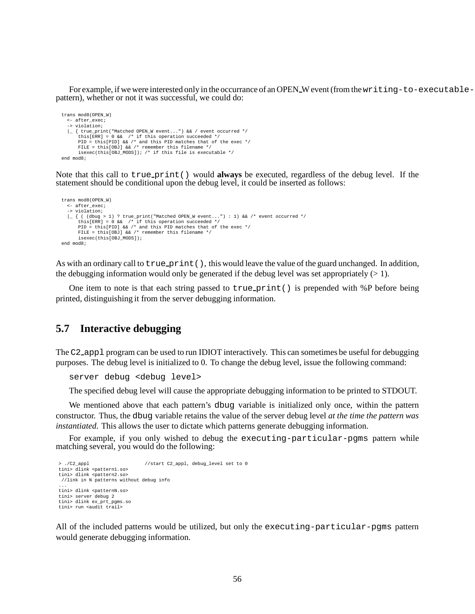For example, if we were interested only in the occurrance of an OPEN W event (from thewriting-to-executablepattern), whether or not it was successful, we could do:

```
trans mod8(OPEN_W)
   <- after_exec;
   -> violation;
   |_ { true_print("Matched OPEN_W event...") && / event occurred */
         this[ERR] = 0 && /* if this operation succeeded */<br>PID = this[PID] && /* and this PID matches that of the exec */<br>FILE = this[OBJ] && /* remember this filename */
        isexec(this[OBJ_MODS]); /* if this file is executable */
end mod8;
```
Note that this call to true print() would **always** be executed, regardless of the debug level. If the statement should be conditional upon the debug level, it could be inserted as follows:

```
trans mod8(OPEN_W)
  <- after_exec;
   -> violation;
   |_{((dbug > 1) ? true_print("Matched OPEN_W event...") : 1) && /* event occurred */<br>this[ERR] = 0 && /* if this operation succeeded */<br>PID = this[PID] && /* and this PID matches that of the exec */
         FILE = this[OBJ] && /* remember this filename */
         isexec(this[OBJ_MODS]);
end mod8;
```
As with an ordinary call to  $true\_print($ , this would leave the value of the guard unchanged. In addition, the debugging information would only be generated if the debug level was set appropriately  $(> 1)$ .

One item to note is that each string passed to  $true$ -print() is prepended with %P before being printed, distinguishing it from the server debugging information.

## **5.7 Interactive debugging**

The C2 appl program can be used to run IDIOT interactively. This can sometimes be useful for debugging purposes. The debug level is initialized to 0. To change the debug level, issue the following command:

```
server debug <debug level>
```
The specified debug level will cause the appropriate debugging information to be printed to STDOUT.

We mentioned above that each pattern's dbug variable is initialized only once, within the pattern constructor. Thus, the dbug variable retains the value of the server debug level *at the time the pattern was instantiated*. This allows the user to dictate which patterns generate debugging information.

For example, if you only wished to debug the executing-particular-pgms pattern while matching several, you would do the following:

```
> ./C2_appl //start C2_appl, debug_level set to 0
tini> dlink <pattern1.so>
tini> dlink <pattern2.so>
//link in N patterns without debug info
...
tini> dlink <patternN.so>
tini> server debug 2
tini> dlink ex_prt_pgms.so
tini> run <audit trail>
```
All of the included patterns would be utilized, but only the executing-particular-pgms pattern would generate debugging information.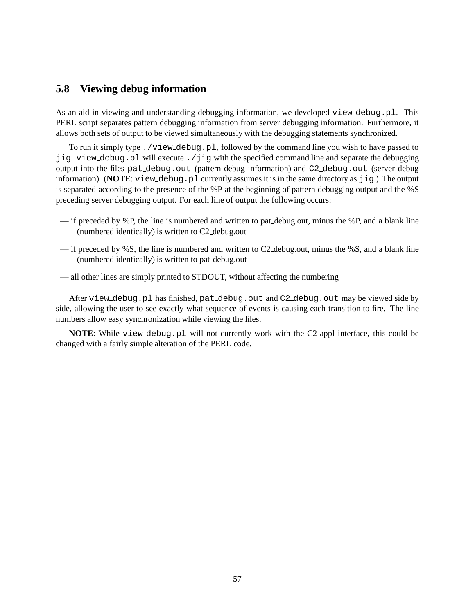## **5.8 Viewing debug information**

As an aid in viewing and understanding debugging information, we developed view debug.pl. This PERL script separates pattern debugging information from server debugging information. Furthermore, it allows both sets of output to be viewed simultaneously with the debugging statements synchronized.

To run it simply type ./view debug.pl, followed by the command line you wish to have passed to jig. view debug.pl will execute ./jig with the specified command line and separate the debugging output into the files pat debug.out (pattern debug information) and C2 debug.out (server debug information). (**NOTE**: view\_debug.pl currently assumes it is in the same directory as jig.) The output is separated according to the presence of the %P at the beginning of pattern debugging output and the %S preceding server debugging output. For each line of output the following occurs:

- $-$  if preceded by %P, the line is numbered and written to pat debug.out, minus the %P, and a blank line (numbered identically) is written to C2 debug.out
- if preceded by %S, the line is numbered and written to C2 debug.out, minus the %S, and a blank line (numbered identically) is written to pat debug.out
- all other lines are simply printed to STDOUT, without affecting the numbering

After view debug.pl has finished, pat debug.out and C2 debug.out may be viewed side by side, allowing the user to see exactly what sequence of events is causing each transition to fire. The line numbers allow easy synchronization while viewing the files.

**NOTE:** While view debug.pl will not currently work with the C2 appl interface, this could be changed with a fairly simple alteration of the PERL code.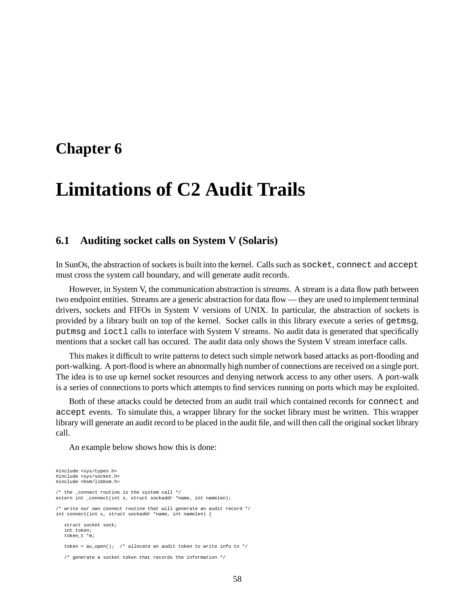## **Chapter 6**

# **Limitations of C2 Audit Trails**

### **6.1 Auditing socket calls on System V (Solaris)**

In SunOs, the abstraction of sockets is built into the kernel. Calls such as socket, connect and accept must cross the system call boundary, and will generate audit records.

However, in System V, the communication abstraction is *streams*. A stream is a data flow path between two endpoint entities. Streams are a generic abstraction for data flow — they are used to implement terminal drivers, sockets and FIFOs in System V versions of UNIX. In particular, the abstraction of sockets is provided by a library built on top of the kernel. Socket calls in this library execute a series of getmsg, putmsg and ioctl calls to interface with System V streams. No audit data is generated that specifically mentions that a socket call has occured. The audit data only shows the System V stream interface calls.

This makes it difficult to write patterns to detect such simple network based attacks as port-flooding and port-walking. A port-flood is where an abnormally high number of connections are received on a single port. The idea is to use up kernel socket resources and denying network access to any other users. A port-walk is a series of connections to ports which attempts to find services running on ports which may be exploited.

Both of these attacks could be detected from an audit trail which contained records for connect and accept events. To simulate this, a wrapper library for the socket library must be written. This wrapper library will generate an audit record to be placed in the audit file, and will then call the original socket library call.

An example below shows how this is done:

```
#include <sys/types.h>
#include <sys/socket.h>
#include <bsm/libbsm.h>
\prime^{\star} the _connect routine is the system call */
extern int connect(int s, struct sockaddr *name, int namelen);
/* write our own connect routine that will generate an audit record */
int connect(int s, struct sockaddr *name, int namelen) {
   struct socket sock;
   int token;
   token_t *m;
   token = au open(); /* allocate an audit token to write info to */
   /* generate a socket token that records the information */
```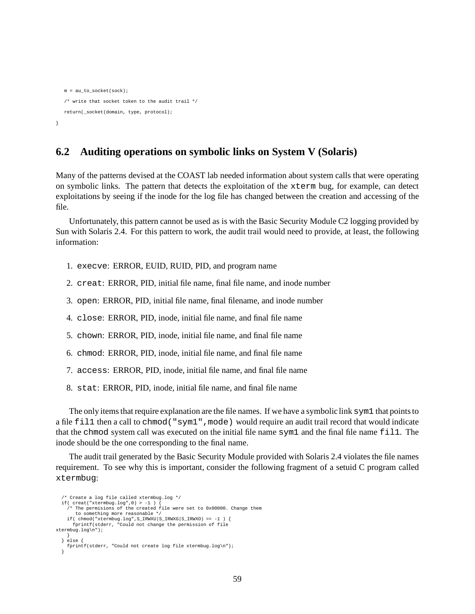```
m = au to socket(sock);
  /* write that socket token to the audit trail */
  return(_socket(domain, type, protocol);
}
```
## **6.2 Auditing operations on symbolic links on System V (Solaris)**

Many of the patterns devised at the COAST lab needed information about system calls that were operating on symbolic links. The pattern that detects the exploitation of the xterm bug, for example, can detect exploitations by seeing if the inode for the log file has changed between the creation and accessing of the file.

Unfortunately, this pattern cannot be used as is with the Basic Security Module C2 logging provided by Sun with Solaris 2.4. For this pattern to work, the audit trail would need to provide, at least, the following information:

- 1. execve: ERROR, EUID, RUID, PID, and program name
- 2. creat: ERROR, PID, initial file name, final file name, and inode number
- 3. open: ERROR, PID, initial file name, final filename, and inode number
- 4. close: ERROR, PID, inode, initial file name, and final file name
- 5. chown: ERROR, PID, inode, initial file name, and final file name
- 6. chmod: ERROR, PID, inode, initial file name, and final file name
- 7. access: ERROR, PID, inode, initial file name, and final file name
- 8. stat: ERROR, PID, inode, initial file name, and final file name

The only items that require explanation are the file names. If we have a symboliclink sym1 that points to a file fill then a call to chmod ("sym1", mode) would require an audit trail record that would indicate that the chmod system call was executed on the initial file name sym1 and the final file name fil1. The inode should be the one corresponding to the final name.

The audit trail generated by the Basic Security Module provided with Solaris 2.4 violates the file names requirement. To see why this is important, consider the following fragment of a setuid C program called xtermbug:

```
/* Create a log file called xtermbug.log */
 if( creat("xtermbug.log",0) > -1 ) {
   /* The permisions of the created file were set to 0x00000. Change them
      to something more reasonable */
   if( chmod("xtermbug.log",S_IRWXU|S_IRWXG|S_IRWXO) == -1 ) {
     fprintf(stderr, "Could not change the permission of file
xtermbug.log\n");
    }
  } else {
   fprintf(stderr, "Could not create log file xtermbug.log\n");
 }
```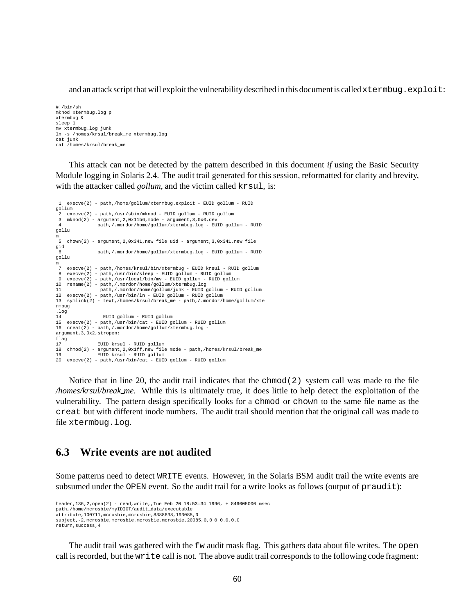and an attack script that will exploit the vulnerability described in this document is called xtermbug.exploit:

#!/bin/sh mknod xtermbug.log p xtermbug & sleep 1 mv xtermbug.log junk ln -s /homes/krsul/break\_me xtermbug.log cat junk cat /homes/krsul/break\_me

This attack can not be detected by the pattern described in this document *if* using the Basic Security Module logging in Solaris 2.4. The audit trail generated for this session, reformatted for clarity and brevity, with the attacker called *gollum*, and the victim called krsul, is:

```
1 execve(2) - path,/home/gollum/xtermbug.exploit - EUID gollum - RUID
gollum
 2 execve(2) - path,/usr/sbin/mknod - EUID gollum - RUID gollum
3 mknod(2) - argument,2,0x11b6,mode - argument,3,0x0,dev
              4 path,/.mordor/home/gollum/xtermbug.log - EUID gollum - RUID
gollu
m
   chown(2) - argument, 2,0x341, new file uid - argument, 3,0x341, new file
gid
 6 path,/.mordor/home/gollum/xtermbug.log - EUID gollum - RUID
gollu
m
 7 execve(2) - path,/homes/krsul/bin/xtermbug - EUID krsul - RUID gollum
8 execve(2) - path,/usr/bin/sleep - EUID gollum - RUID gollum
 9 execve(2) - path,/usr/local/bin/mv - EUID gollum - RUID gollum
10 rename(2) - path,/.mordor/home/gollum/xtermbug.log
11 path,/.mordor/home/gollum/junk - EUID gollum - RUID gollum
12 execve(2) - path,/usr/bin/ln - EUID gollum - RUID gollum
13 symlink(2) - text,/homes/krsul/break_me - path,/.mordor/home/gollum/xte
rmbug
.log
                 14 EUID gollum - RUID gollum
15 execve(2) - path,/usr/bin/cat - EUID gollum - RUID gollum
16 creat(2) - path,/.mordor/home/gollum/xtermbug.log
argument,3,0x2,stropen:
flag
               17 EUID krsul - RUID gollum
18 chmod(2) - argument,2,0x1ff,new file mode - path,/homes/krsul/break_me
19 EUID krsul - RUID gollum
20 execve(2) - path,/usr/bin/cat - EUID gollum - RUID gollum
```
Notice that in line 20, the audit trail indicates that the chmod(2) system call was made to the file */homes/krsul/break me*. While this is ultimately true, it does little to help detect the exploitation of the vulnerability. The pattern design specifically looks for a chmod or chown to the same file name as the creat but with different inode numbers. The audit trail should mention that the original call was made to file xtermbug.log.

### **6.3 Write events are not audited**

Some patterns need to detect WRITE events. However, in the Solaris BSM audit trail the write events are subsumed under the OPEN event. So the audit trail for a write looks as follows (output of praudit):

```
header,136,2,open(2) - read,write,,Tue Feb 20 18:53:34 1996, + 846005000 msec
path,/home/mcrosbie/myIDIOT/audit_data/executable
attribute,100711,mcrosbie,mcrosbie,8388638,193085,0
subject,-2,mcrosbie,mcrosbie,mcrosbie,mcrosbie,20085,0,0 0 0.0.0.0
return,success,4
```
The audit trail was gathered with the fw audit mask flag. This gathers data about file writes. The open call is recorded, but the write call is not. The above audit trail corresponds to the following code fragment: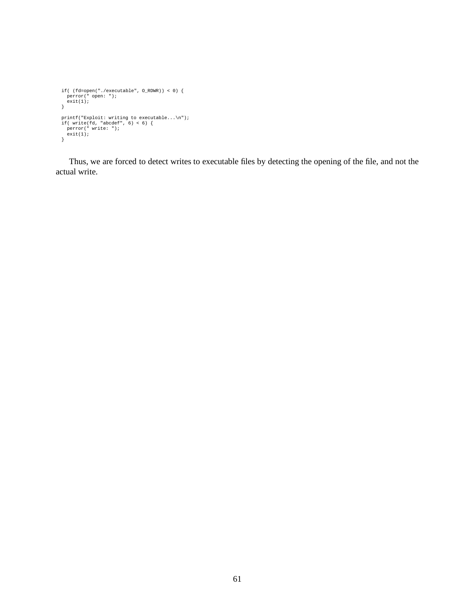```
if( (fd=open("./executable", O_RDWR)) < 0) {
perror(" open: ");
exit(1);
}
 printf("Exploit: writing to executable...\n");<br>if( write(fd, "abcdef", 6) < 6) {<br>perror(" write: ");<br>exit(1);
}
```
Thus, we are forced to detect writes to executable files by detecting the opening of the file, and not the actual write.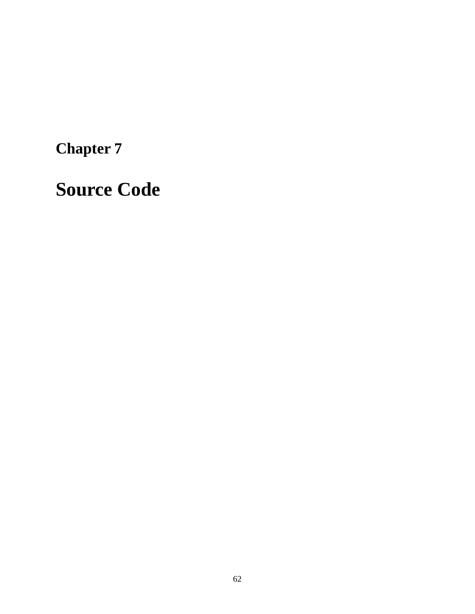**Chapter 7**

**Source Code**